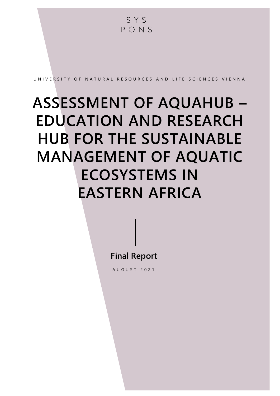SYS PONS U N I V E R S I T Y O F N A T U R A L R E S O U R C E S A N D LI F E S C I E N C E S V I E N N A **ASSESSMENT OF AQUAHUB – EDUCATION AND RESEARCH HUB FOR THE SUSTAINABLE MANAGEMENT OF AQUATIC ECOSYSTEMS IN** 

**EASTERN AFRICA**

**Final Report**

A U G U S T 2021

A S S S  $\sim$  E  $\sim$  E  $\sim$  E  $\sim$  E  $\sim$  E  $\sim$  E  $\sim$  E  $\sim$  E  $\sim$  E  $\sim$  T  $\sim$  E  $\sim$  E  $\sim$  E  $\sim$  E  $\sim$ M A N A G E M E N T O F A Q U A T I C E C O S Y S T E M S I N E A S T E R N A F R I C A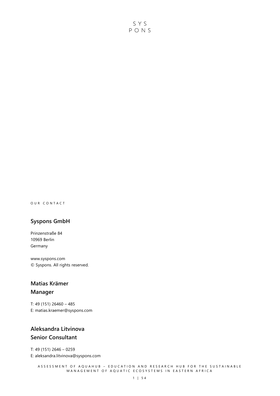SYS PONS

O U R C O N T A C T

#### **Syspons GmbH**

Prinzenstraße 84 10969 Berlin Germany

www.syspons.com © Syspons. All rights reserved.

### **Matias Krämer Manager**

T: 49 (151) 26460 – 485 E: matias.kraemer@syspons.com

### **Aleksandra Litvinova Senior Consultant**

T: 49 (151) 2646 – 0259 E: aleksandra.litvinova@syspons.com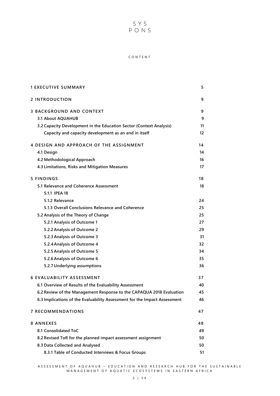# SYS<br>PONS

#### C O N T E N T

| <b>1 EXECUTIVE SUMMARY</b>                                                | 5  |
|---------------------------------------------------------------------------|----|
| 2 INTRODUCTION                                                            | 9  |
| <b>3 BACKGROUND AND CONTEXT</b>                                           | 9  |
| 3.1 About AQUAHUB                                                         | 9  |
| 3.2 Capacity Development in the Education Sector (Context Analysis)       | 11 |
| Capacity and capacity development as an end in itself                     | 12 |
| 4 DESIGN AND APPROACH OF THE ASSIGNMENT                                   | 14 |
| 4.1 Design                                                                | 14 |
| 4.2 Methodological Approach                                               | 16 |
| 4.3 Limitations, Risks and Mitigation Measures                            | 17 |
| 5 FINDINGS                                                                | 18 |
| 5.1 Relevance and Coherence Assessment                                    | 18 |
| 5.1.1 IPEA 18                                                             |    |
| 5.1.2 Relevance                                                           | 24 |
| 5.1.3 Overall Conclusions Relevance and Coherence                         | 25 |
| 5.2 Analysis of the Theory of Change                                      | 25 |
| 5.2.1 Analysis of Outcome 1                                               | 27 |
| 5.2.2 Analysis of Outcome 2                                               | 29 |
| 5.2.3 Analysis of Outcome 3                                               | 31 |
| 5.2.4 Analysis of Outcome 4                                               | 32 |
| 5.2.5 Analysis of Outcome 5                                               | 34 |
| 5.2.6 Analysis of Outcome 6                                               | 35 |
| 5.2.7 Underlying assumptions                                              | 36 |
| <b>6 EVALUABILITY ASSESSMENT</b>                                          | 37 |
| 6.1 Overview of Results of the Evaluability Assessment                    | 40 |
| 6.2 Review of the Management Response to the CAPAQUA 2018 Evaluation      | 45 |
| 6.3 Implications of the Evaluability Assessment for the Impact Assessment | 46 |
| <b>7 RECOMMENDATIONS</b>                                                  | 47 |
| <b>8 ANNEXES</b>                                                          | 48 |
| 8.1 Consolidated ToC                                                      | 49 |
| 8.2 Revised ToR for the planned impact assessment assignment              | 50 |
| 8.3 Data Collected and Analysed                                           | 50 |
| 8.3.1 Table of Conducted Interviews & Focus Groups                        | 51 |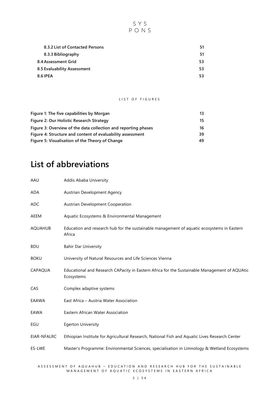

| 8.3.2 List of Contacted Persons | 51  |
|---------------------------------|-----|
| 8.3.3 Bibliography              | 51  |
| 8.4 Assessment Grid             | 53. |
| 8.5 Evaluability Assessment     | 53. |
| <b>8.6 IPEA</b>                 | 53. |

#### LIST OF FIGURES

| Figure 1: The five capabilities by Morgan                      | 13. |
|----------------------------------------------------------------|-----|
| Figure 2: Our Holistic Research Strategy                       | 15  |
| Figure 3: Overview of the data collection and reporting phases | 16  |
| Figure 4: Structure and content of evaluability assessment     | 39  |
| Figure 5: Visualisation of the Theory of Change                | 49  |

## **List of abbreviations**

| AAU            | Addis Ababa University                                                                                      |
|----------------|-------------------------------------------------------------------------------------------------------------|
| ADA            | Austrian Development Agency                                                                                 |
| <b>ADC</b>     | Austrian Development Cooperation                                                                            |
| AEEM           | Aquatic Ecosystems & Environmental Management                                                               |
| <b>AQUAHUB</b> | Education and research hub for the sustainable management of aquatic ecosystems in Eastern<br>Africa        |
| <b>BDU</b>     | <b>Bahir Dar University</b>                                                                                 |
| <b>BOKU</b>    | University of Natural Resources and Life Sciences Vienna                                                    |
| CAPAQUA        | Educational and Research CAPacity in Eastern Africa for the Sustainable Management of AQUAtic<br>Ecosystems |
| CAS            | Complex adaptive systems                                                                                    |
| EAAWA          | East Africa - Austria Water Association                                                                     |
| EAWA           | Eastern African Water Association                                                                           |
| EGU            | <b>Egerton University</b>                                                                                   |
| EIAR-NFALRC    | Ethiopian Institute for Agricultural Research, National Fish and Aquatic Lives Research Center              |
| ES-LWE         | Master's Programme: Environmental Sciences, specialisation in Limnology & Wetland Ecosystems                |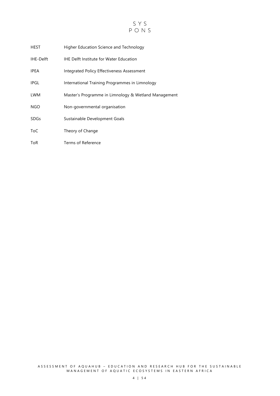

| HEST        | Higher Education Science and Technology              |
|-------------|------------------------------------------------------|
| IHE-Delft   | <b>IHE Delft Institute for Water Education</b>       |
| <b>IPEA</b> | Integrated Policy Effectiveness Assessment           |
| <b>IPGL</b> | International Training Programmes in Limnology       |
| <b>LWM</b>  | Master's Programme in Limnology & Wetland Management |
| NGO.        | Non-governmental organisation                        |
| <b>SDGs</b> | Sustainable Development Goals                        |
| ToC         | Theory of Change                                     |
| ToR         | Terms of Reference                                   |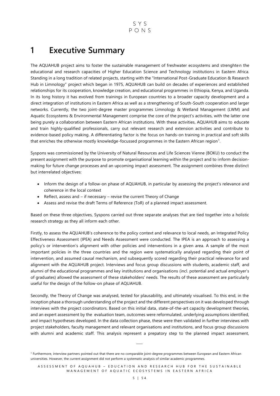## <span id="page-5-0"></span>**1 Executive Summary**

The AQUAHUB project aims to foster the sustainable management of freshwater ecosystems and strenghten the educational and research capacities of Higher Education Science and Technology institutions in Eastern Africa. Standing in a long tradition of related projects, starting with the "International Post-Graduate Education & Research Hub in Limnology" project which began in 1975, AQUAHUB can build on decades of experiences and established relationships for its cooperation, knowledge creation, and educational programmes in Ethiopia, Kenya, and Uganda. In its long history it has evolved from trainings in European countries to a broader capacity development and a direct integration of institutions in Eastern Africa as well as a strengthening of South-South cooperation and larger networks. Currently, the two joint-degree master programmes Limnology & Wetland Management (LWM) and Aquatic Ecosystems & Environmental Management comprise the core of the project's activities, with the latter one being purely a collaboration between Eastern African institutions. With these activities, AQUAHUB aims to educate and train highly-qualified professionals, carry out relevant research and extension activities and contribute to evidence-based policy making. A differentiating factor is the focus on hands-on training in practical and soft skills that enriches the otherwise mostly knowledge-focussed programmes in the Eastern African region<sup>1</sup>.

Syspons was commissioned by the University of Natural Resources and Life Sciences Vienne (BOKU) to conduct the present assignment with the purpose to promote organisational learning within the project and to inform decisionmaking for future change processes and an upcoming impact assessment. The assignment combines three distinct but interrelated objectives:

- Inform the design of a follow-on phase of AQUAHUB, in particular by assessing the project's relevance and coherence in the local context
- Reflect, assess and if necessary revise the current Theory of Change
- Assess and revise the draft Terms of Reference (ToR) of a planned impact assessment.

Based on these three objectives, Syspons carried out three separate analyses that are tied together into a holistic research strategy as they all inform each other.

Firstly, to assess the AQUAHUB's coherence to the policy context and relevance to local needs, an Integrated Policy Effectiveness Assessment (IPEA) and Needs Assessment were conducted. The IPEA is an approach to assessing a policy's or intervention's alignment with other policies and interventions in a given area. A sample of the most important policies in the three countries and the region were systematically analysed regarding their point of intervention, and assumed causal mechanism, and subsequently scored regarding their practical relevance for and alignment with the AQUAHUB project. Interviews and focus group discussions with students, academic staff, and alumni of the educational programmes and key institutions and organisations (incl. potential and actual employer's of graduates) allowed the assessment of these stakeholders' needs. The results of these assessment are particularly useful for the design of the follow-on phase of AQUAHUB.

Secondly, the Theory of Change was analysed, tested for plausability, and ultimately visualised. To this end, in the inception phase a thorough understanding of the project and the different perspectives on it was developed through interviews with the project coordinators. Based on this initial data, state-of-the-art capacity development theories, and an expert assessment by the evaluation team, outcomes were reformulated, underlying assumptions identified, and impact hypotheses developed. In the data collection phase, these were then validated in further interviews with project stakeholders, faculty management and relevant organisations and institutions, and focus group discussions with alumni and academic staff. This analysis represent a prepatory step to the planned impact assessment,

⸻

<sup>&</sup>lt;sup>1</sup> Furthermore, interview partners pointed out that there are no comparable joint-degree programmes between European and Eastern African universities. However, the current assignment did not perform a systematic analysis of similar academic programmes.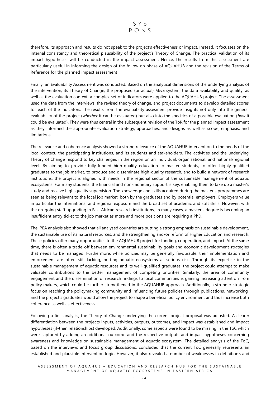therefore, its approach and results do not speak to the project's effectiveness or impact. Instead, it focusses on the internal consistency and theoretical plausability of the project's Theory of Change. The practical validation of its impact hypotheses will be conducted in the impact assessment. Hence, the results from this assessment are particularly useful in informing the design of the follow-on phase of AQUAHUB and the revision of the Terms of Reference for the planned impact assessment

Finally, an Evaluability Assessment was conducted. Based on the analytical dimensions of the underlying analysis of the intervention, its Theory of Change, the proposed (or actual) M&E system, the data availability and quality, as well as the evaluation context, a complex set of indicators were applied to the AQUAHUB project. The assessment used the data from the interviews, the revised theory of change, and project documents to develop detailed scores for each of the indicators. The results from the evaluablity assesment provide insights not only into the general evaluability of the project (*whether* it can be evaluated) but also into the specifics of a possible evaluation (*how* it could be evaluated). They were thus central in the subsequent revision of the ToR for the planned impact assessment as they informed the appropriate evaluation strategy, approaches, and designs as well as scope, emphasis, and limitations.

The relevance and coherence analysis showed a strong relevance of the AQUAHUB intervention to the needs of the local context, the participating institutions, and its students and stakeholders. The activities and the underlying Theory of Change respond to key challenges in the region on an individual, organisational, and national/regional level. By aiming to provide fully-funded high-quality education to master students, to offer highly-qualified graduates to the job market, to produce and disseminate high-quality research, and to build a network of research institutions, the project is aligned with needs in the regional sector of the sustainable management of aquatic ecosystems. For many students, the financial and non-monetary support is key, enabling them to take up a master's study and receive high-quality supervision. The knowledge and skills acquired during the master's programmes are seen as being relevant to the local job market, both by the graduates and by potential employers. Employers value in particular the international and regional exposure and the broad set of academic and soft skills. However, with the on-going staff upgrading in East African research institutions, in many cases, a master's degree is becoming an insufficient entry ticket to the job market as more and more positions are requiring a PhD.

The IPEA analysis also showed that all analysed countries are putting a strong emphasis on sustainable development, the sustainable use of its natural resources, and the strengthening and/or reform of Higher Education and research. These policies offer many opportunities to the AQUAHUB project for funding, cooperation, and impact. At the same time, there is often a trade-off between environmental sustainability goals and economic development strategies that needs to be managed. Furthermore, while policies may be generally favourable, their implementation and enforcement are often still lacking, putting aquatic ecosystems at serious risk. Through its expertise in the sustainable management of aquatic resources and its well-qualified graduates, the project could attempt to make valuable contributions to the better management of competing priorities. Similarly, the area of community engagement and the dissemination of research findings to local communities is gaining increasing attention from policy makers, which could be further strengthened in the AQUAHUB approach. Additionally, a stronger strategic focus on reaching the policymaking community and influencing future policies through publications, networking, and the project's graduates would allow the project to shape a beneficial policy environment and thus increase both coherence as well as effectiveness.

Following a first analysis, the Theory of Change underlying the current project proposal was adjusted. A clearer differentiation between the projects inputs, activities, outputs, outcomes, and impact was established and impact hypotheses (if-then relationships) developed. Additionally, some aspects were found to be missing in the ToC which were captured by adding an additional outcome and the respective outputs and impact hypotheses concerning awareness and knowledge on sustainable management of aquatic ecosystem. The detailed analysis of the ToC, based on the interviews and focus group discussions, concluded that the current ToC generally represents an established and plausible intervention logic. However, it also revealed a number of weaknesses in definitions and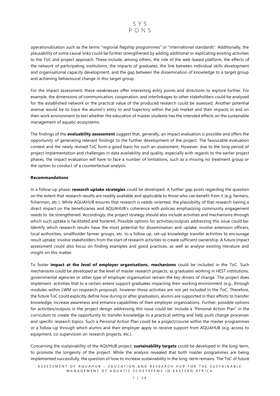

operationalisation such as the terms "regional flagship programmes" or "international standards". Additionally, the plausability of some causal links could be further strengthened by adding additional or explicating existing activities to the ToC and project approach. These include, among others, the role of the web-based platform, the effects of the network of participating institutions, the impacts of graduates, the link between individual skills development and organisational capacity development, and the gap between the dissemination of knowledge to a target group and achieving behavioural change in this target group.

For the impact assessment, these weaknesses offer interesting entry points and directions to explore further. For example, the dimensions of communication, cooperation, and interlinkages to other stakeholders could be analysed for the established network or the practical value of the produced research could be assessed. Another potential avenue would be to trace the alumni's entry to and trajectory within the job market and their impacts in and on their work environment to test whether the education of master students has the intended effects on the sustainable management of aquatic ecosystems.

The findings of the **evaluability assessment** suggest that, generally, an impact evaluation is possible and offers the opportunity of generating relevant findings to the further development of the project. The favourable evaluation context and the newly revised ToC form a good basis for such an assessment. However, due to the long period of project implementation and challenges in data availability and quality, especially with regards to the earlier project phases, the impact evaluation will have to face a number of limitations, such as a missing no treatment group or the option to conduct of a counterfactual analysis.

#### **Recommandations**

In a follow-up phase, **research uptake strategies** could be developed. A further gap exists regarding the question on the extent that research results are readily available and applicable to those who can benefit from it (e.g. farmers, fishermen, etc.). While AQUAHUB ensures that research is needs-oriented, the plausibility of that research having a direct impact on the beneficiaries and AQUAHUB's coherence with policies emphasizing community engagement needs to be strengthened. Accordingly, the project strategy should also include activities and mechanisms through which such uptake is facilitated and fostered. Possible options for activities/outputs addressing this issue could be: Identify which research results have the most potential for dissemination and uptake; involve extension officers, local authorities, smallholder farmer groups, etc. to a follow up; set-up knowledge transfer activities to encourage result uptake; involve stakeholders from the start of research activities to create sufficient ownership. A future impact assessment could also focus on finding examples and good practices, as well as analyse existing literature and insight on this matter.

To foster **impact at the level of employer organisations, mechanisms** could be included in the ToC. Such mechanisms could be developed at the level of master research projects, as graduates working in HEST institutions, governmental agencies or other type of employer organisation remain the key drivers of change. The project does implement activities that to a certain extent support graduates impacting their working environment (e.g., through modules within LWM on respearch proposal), however those activities are not yet included in the ToC. Therefore, the future ToC could explicitly define how during or after graduation, alumni are supported in their efforts to transfer knowledge, increase awareness and enhance capabilities of their employer organisations. Further, possible options for activities/outputs in the project design addressing this issue could be: Include a "Personal Action Plan" in the curriculum to create the opportunity to transfer knowledge to a practical setting and help push change processes and specific research topics. Such a Personal Action Plan could be a project/course within the master programmes or a follow-up through which alumni and their employer apply to receive support from AQUAHUB (e.g. access to equipment, co-supervision on research projects, etc.).

Concerning the sustainability of the AQUHUB project, **sustainability targets** could be developed in the long-term, to promote the longevity of the project. While the analysis revealed that both master programmes are being implemented successfully, the question of how to increase sustainability in the long-term remains. The ToC of future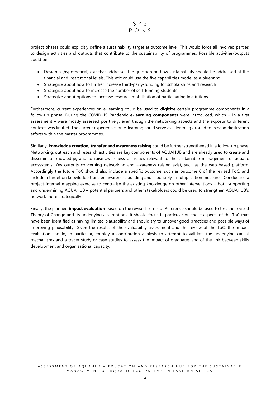

project phases could explicitly define a sustainability target at outcome level. This would force all involved parties to design activities and outputs that contribute to the sustainability of programmes. Possible activities/outputs could be:

- Design a (hypothetical) exit that addresses the question on how sustainability should be addressed at the financial and institutional levels. This exit could use the five capabilities model as a blueprint.
- Strategize about how to further increase third-party-funding for scholarships and research
- Strategize about how to increase the number of self-funding students
- Strategize about options to increase resource mobilisation of participating institutions

Furthermore, current experiences on e-learning could be used to **digitize** certain programme components in a follow-up phase. During the COVID-19 Pandemic **e-learning components** were introduced, which – in a first assessment – were mostly assessed positively, even though the networking aspects and the exposur to different contexts was limited. The current experiences on e-learning could serve as a learning ground to expand digitization efforts within the master programmes.

Similarly, **knowledge creation, transfer and awareness raising** could be further strengthened in a follow-up phase. Networking, outreach and research activities are key components of AQUAHUB and are already used to create and disseminate knowledge, and to raise awareness on issues relevant to the sustainable management of aquatic ecosystems. Key outputs concerning networking and awareness raising exist, such as the web-based platform. Accordingly the future ToC should also include a specific outcome, such as outcome 6 of the revised ToC, and include a target on knowledge transfer, awareness building and – possibly - multiplication measures. Conducting a project-internal mapping exercise to centralise the existing knowledge on other interventions – both supporting and undermining AQUAHUB – potential partners and other stakeholders could be used to strengthen AQUAHUB's network more strategically.

Finally, the planned **impact evaluation** based on the revised Terms of Reference should be used to test the revised Theory of Change and its underlying assumptions. It should focus in particular on those aspects of the ToC that have been identified as having limited plausability and should try to uncover good practices and possible ways of improving plausability. Given the results of the evaluability assessment and the review of the ToC, the impact evaluation should, in particular, employ a contribution analysis to attempt to validate the underlying causal mechanisms and a tracer study or case studies to assess the impact of graduates and of the link between skills development and organisational capacity.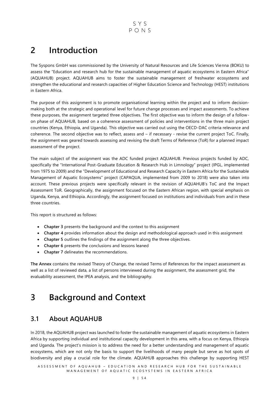SYS  $PONS$ 

## <span id="page-9-0"></span>**2 Introduction**

The Syspons GmbH was commissioned by the University of Natural Resources and Life Sciences Vienna (BOKU) to assess the "Education and research hub for the sustainable management of aquatic ecosystems in Eastern Africa" (AQUAHUB) project. AQUAHUB aims to foster the sustainable management of freshwater ecosystems and strengthen the educational and research capacities of Higher Education Science and Technology (HEST) institutions in Eastern Africa.

The purpose of this assignment is to promote organisational learning within the project and to inform decisionmaking both at the strategic and operational level for future change processes and impact assessments. To achieve these purposes, the assignment targeted three objectives. The first objective was to inform the design of a followon phase of AQUAHUB, based on a coherence assessment of policies and interventions in the three main project countries (Kenya, Ethiopia, and Uganda). This objective was carried out using the OECD-DAC criteria relevance and coherence. The second objective was to reflect, assess and – if necessary - revise the current project ToC. Finally, the assignment was geared towards assessing and revising the draft Terms of Reference (ToR) for a planned impact assessment of the project.

The main subject of the assignment was the ADC funded project AQUAHUB. Previous projects funded by ADC, specifically the "International Post-Graduate Education & Research Hub in Limnology" project (IPGL, implemented from 1975 to 2009) and the "Development of Educational and Research Capacity in Eastern Africa for the Sustainable Management of Aquatic Ecosystems" project (CAPAQUA, implemented from 2009 to 2018) were also taken into account. These previous projects were specifically relevant in the revision of AQUAHUB's ToC and the Impact Assessment ToR. Geographically, the assignment focused on the Eastern African region, with special emphasis on Uganda, Kenya, and Ethiopia. Accordingly, the assignment focused on institutions and individuals from and in these three countries.

This report is structured as follows:

- **Chapter 3** presents the background and the context to this assignment
- **Chapter 4** provides information about the design and methodological approach used in this assignment
- **Chapter 5** outlines the findings of the assignment along the three objectives.
- **Chapter 6** presents the conclusions and lessons leaned
- **Chapter 7** delineates the recommendations.

**The Annex** contains the revised Theory of Change, the revised Terms of References for the impact assessment as well as a list of reviewed data, a list of persons interviewed during the assignment, the assessment grid, the evaluability assessment, the IPEA analysis, and the bibliography.

## <span id="page-9-1"></span>**3 Background and Context**

### <span id="page-9-2"></span>**3.1 About AQUAHUB**

In 2018, the AQUAHUB project was launched to foster the sustainable management of aquatic ecosystems in Eastern Africa by supporting individual and institutional capacity development in this area, with a focus on Kenya, Ethiopia and Uganda. The project's mission is to address the need for a better understanding and management of aquatic ecosystems, which are not only the basis to support the livelihoods of many people but serve as hot spots of biodiversity and play a crucial role for the climate. AQUAHUB approaches this challenge by supporting HEST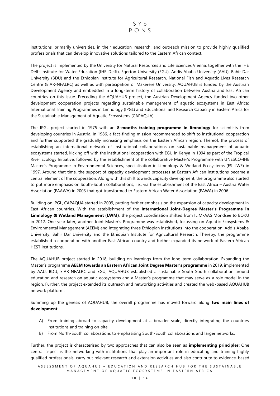

institutions, primarily universities, in their education, research, and outreach mission to provide highly qualified professionals that can develop innovative solutions tailored to the Eastern African context.

The project is implemented by the University for Natural Resources and Life Sciences Vienna, together with the IHE Delft Institute for Water Education (IHE-Delft), Egerton University (EGU), Addis Ababa University (AAU), Bahir Dar University (BDU) and the Ethiopian Institute for Agricultural Research, National Fish and Aquatic Lives Research Centre (EIAR-NFALRC) as well as with participation of Makerere University. AQUAHUB is funded by the Austrian Development Agency and embedded in a long-term history of collaboration between Austria and East African countries on this issue. Preceding the AQUAHUB project, the Austrian Development Agency funded two other development cooperation projects regarding sustainable management of aquatic ecosystems in East Africa: International Training Programmes in Limnology (IPGL) and Educational and Research Capacity in Eastern Africa for the Sustainable Management of Aquatic Ecosystems (CAPAQUA).

The IPGL project started in 1975 with an **8-months training programme in limnology** for scientists from developing countries in Austria. In 1986, a fact-finding mission recommended to shift to institutional cooperation and further supported the gradually increasing emphasis on the Eastern African region. Thereof, the process of establishing an international network of institutional collaborations on sustainable management of aquatic ecosystems started, kicking off with the institutional cooperation with EGU in Kenya in 1994 as part of the Tropical River Ecology Initiative, followed by the establishment of the collaborative Master's Programme with UNESCO-IHE Master's Programme in Environmental Sciences, specialisation in Limnology & Wetland Ecosystems (ES-LWE) in 1997. Around that time, the support of capacity development processes at Eastern African institutions became a central element of the cooperation. Along with this shift towards capacity development, the programme also started to put more emphasis on South-South collaborations, i.e., via the establishment of the East Africa – Austria Water Association (EAAWA) in 2003 that got transformed to Eastern African Water Association (EAWA) in 2006.

Building on IPGL, CAPAQUA started in 2009, putting further emphasis on the expansion of capacity development in East African countries. With the establishment of the **International Joint-Degree Master's Programme in Limnology & Wetland Management (LWM)**, the project coordination shifted from ILIM-AAS Mondsee to BOKU in 2012. One year later, another Joint Master's Programme was established, focussing on Aquatic Ecosystems & Environmental Management (AEEM) and integrating three Ethiopian institutions into the cooperation: Addis Ababa University, Bahir Dar University and the Ethiopian Institute for Agricultural Research. Thereby, the programme established a cooperation with another East African country and further expanded its network of Eastern African HEST institutions.

The AQUAHUB project started in 2018, building on learnings from the long-term collaboration. Expanding the Master's programme **AEEM towards an Eastern African Joint Degree Master's programme** in 2019, implemented by AAU, BDU, EIAR-NFALRC and EGU, AQUAHUB established a sustainable South-South collaboration around education and research on aquatic ecosystems and a Master's programme that may serve as a role model in the region. Further, the project extended its outreach and networking activities and created the web-based AQUAHUB network platform.

Summing up the genesis of AQUAHUB, the overall programme has moved forward along **two main lines of development**:

- A) From training abroad to capacity development at a broader scale, directly integrating the countries institutions and training on-site
- B) From North-South collaborations to emphasising South-South collaborations and larger networks.

Further, the project is characterised by two approaches that can also be seen as **implementing principles**: One central aspect is the networking with institutions that play an important role in educating and training highly qualified professionals, carry out relevant research and extension activities and also contribute to evidence-based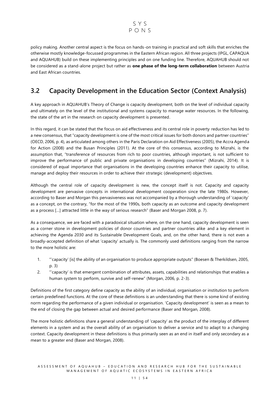

policy making. Another central aspect is the focus on hands-on training in practical and soft skills that enriches the otherwise mostly knowledge-focussed programmes in the Eastern African region. All three projects (IPGL, CAPAQUA and AQUAHUB) build on these implementing principles and on one funding line. Therefore, AQUAHUB should not be considered as a stand-alone project but rather as **one phase of the long-term collaboration** between Austria and East African countries.

### <span id="page-11-0"></span>**3.2 Capacity Development in the Education Sector (Context Analysis)**

A key approach in AQUAHUB's Theory of Change is capacity development, both on the level of individual capacity and ultimately on the level of the institutional and systems capacity to manage water resources. In the following, the state of the art in the research on capacity development is presented.

In this regard, it can be stated that the focus on aid effectiveness and its central role in poverty reduction has led to a new consensus, that "capacity development is one of the most critical issues for both donors and partner countries" (OECD, 2006, p. 4), as articulated among others in the Paris Declaration on Aid Effectiveness (2005), the Accra Agenda for Action (2008) and the Busan Principles (2011). At the core of this consensus, according to Mizrahi, is the assumption that, "transference of resources from rich to poor countries, although important, is not sufficient to improve the performance of public and private organisations in developing countries" (Mizrahi, 2014). It is considered of equal importance that organisations in the developing countries enhance their capacity to utilise, manage and deploy their resources in order to achieve their strategic (development) objectives.

Although the central role of capacity development is new, the concept itself is not. Capacity and capacity development are pervasive concepts in international development cooperation since the late 1980s. However, according to Baser and Morgan this pervasiveness was not accompanied by a thorough understanding of 'capacity' as a concept, on the contrary, "for the most of the 1990s, both capacity as an outcome and capacity development as a process […] attracted little in the way of serious research" (Baser and Morgan 2008, p. 7).

As a consequence, we are faced with a paradoxical situation where, on the one hand, capacity development is seen as a corner stone in development policies of donor countries and partner countries alike and a key element in achieving the Agenda 2030 and its Sustainable Development Goals, and, on the other hand, there is not even a broadly-accepted definition of what 'capacity' actually is. The commonly used definitions ranging from the narrow to the more holistic are:

- 1. "'capacity' [is] the ability of an organisation to produce appropriate outputs" (Boesen & Therkildsen, 2005, p. 3)
- 2. "'capacity' is that emergent combination of attributes, assets, capabilities and relationships that enables a human system to perform, survive and self-renew" (Morgan, 2006, p. 2-3).

Definitions of the first category define capacity as the ability of an individual, organisation or institution to perform certain predefined functions. At the core of these definitions is an understanding that there is some kind of existing norm regarding the performance of a given individual or organisation. 'Capacity development' is seen as a mean to the end of closing the gap between actual and desired performance (Baser and Morgan, 2008).

The more holistic definitions share a general understanding of 'capacity' as the product of the interplay of different elements in a system and as the overall ability of an organisation to deliver a service and to adapt to a changing context. Capacity development in these definitions is thus primarily seen as an end in itself and only secondary as a mean to a greater end (Baser and Morgan, 2008).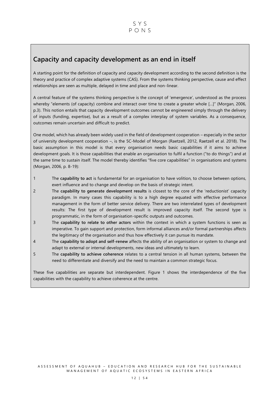### <span id="page-12-0"></span>**Capacity and capacity development as an end in itself**

A starting point for the definition of capacity and capacity development according to the second definition is the theory and practice of complex adaptive systems (CAS). From the systems thinking perspective, cause and effect relationships are seen as multiple, delayed in time and place and non-linear.

A central feature of the systems thinking perspective is the concept of 'emergence', understood as the process whereby "elements (of capacity) combine and interact over time to create a greater whole […]" (Morgan, 2006, p.3). This notion entails that capacity development outcomes cannot be engineered simply through the delivery of inputs (funding, expertise), but as a result of a complex interplay of system variables. As a consequence, outcomes remain uncertain and difficult to predict.

One model, which has already been widely used in the field of development cooperation – especially in the sector of university development cooperation –, is the 5C-Model of Morgan (Raetzell, 2012, Raetzell et al. 2018). The basic assumption in this model is that every organisation needs basic capabilities if it aims to achieve development goals. It is those capabilities that enable an organisation to fulfil a function ("to do things") and at the same time to sustain itself. The model thereby identifies "five core capabilities" in organisations and systems (Morgan, 2006, p. 8-19):

- 1 The **capability to act** is fundamental for an organisation to have volition, to choose between options, exert influence and to change and develop on the basis of strategic intent.
- 2 The **capability to generate development results** is closest to the core of the 'reductionist' capacity paradigm. In many cases this capability is to a high degree equated with effective performance management in the form of better service delivery. There are two interrelated types of development results: The first type of development result is improved capacity itself. The second type is programmatic, in the form of organisation-specific outputs and outcomes.
- 3 The **capability to relate to other actors** within the context in which a system functions is seen as imperative. To gain support and protection, form informal alliances and/or formal partnerships affects the legitimacy of the organisation and thus how effectively it can pursue its mandate.
- 4 The **capability to adopt and self-renew** affects the ability of an organisation or system to change and adapt to external or internal developments, new ideas and ultimately to learn.
- 5 The **capability to achieve coherence** relates to a central tension in all human systems, between the need to differentiate and diversify and the need to maintain a common strategic focus.

These five capabilities are separate but interdependent. Figure 1 shows the interdependence of the five capabilities with the capability to achieve coherence at the centre.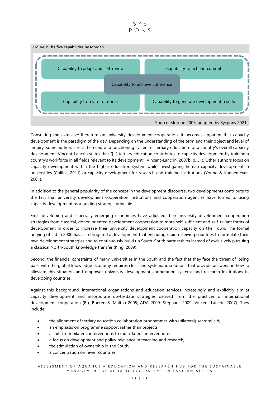#### SYS  $PONS$

<span id="page-13-0"></span>

Consulting the extensive literature on university development cooperation, it becomes apparent that capacity development is the paradigm of the day. Depending on the understanding of the term and their object and level of inquiry, some authors stress the need of a functioning system of tertiary education for a country's overall capacity development: Vincent-Lancrin states that "[...] tertiary education contributes to capacity development by training a country's workforce in all fields relevant to its development" (Vincent-Lancrin, 2007b, p. 31). Other authors focus on capacity development within the higher education system while investigating human capacity development in universities (Collins, 2011) or capacity development for research and training institutions (Young & Kannemeyer, 2001).

In addition to the general popularity of the concept in the development discourse, two developments contribute to the fact that university development cooperation institutions and cooperation agencies have turned to using capacity development as a guiding strategic principle.

First, developing and especially emerging economies have adjusted their university development cooperation strategies from classical, donor-oriented development cooperation to more self-sufficient and self-reliant forms of development in order to increase their university development cooperation capacity on their own. The formal untying of aid in 2000 has also triggered a development that encourages aid receiving countries to formulate their own development strategies and to continuously build up South-South partnerships instead of exclusively pursuing a classical North-South knowledge transfer (King, 2009).

Second, the financial constraints of many universities in the South and the fact that they face the threat of losing pace with the global knowledge economy requires clear and systematic solutions that provide answers on how to alleviate this situation and empower university development cooperation systems and research institutions in developing countries.

Against this background, international organisations and education services increasingly and explicitly aim at capacity development and incorporate up-to-date strategies derived from the practices of international development cooperation (Bo, Boeren & Maltha 2005; ADA 2009; Stephans 2009; Vincent-Lancrin 2007). They include:

- the alignment of tertiary education collaboration programmes with (bilateral) sectoral aid;
- an emphasis on programme support rather than projects;
- a shift from bilateral interventions to multi-lateral interventions;
- a focus on development and policy relevance in teaching and research;
- the stimulation of ownership in the South;
- a concentration on fewer countries;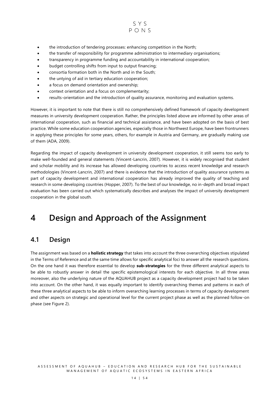

- the introduction of tendering processes: enhancing competition in the North;
- the transfer of responsibility for programme administration to intermediary organisations;
- transparency in programme funding and accountability in international cooperation;
- budget controlling shifts from input to output financing;
- consortia formation both in the North and in the South;
- the untying of aid in tertiary education cooperation;
- a focus on demand orientation and ownership;
- context orientation and a focus on complementarity;
- results-orientation and the introduction of quality assurance, monitoring and evaluation systems.

However, it is important to note that there is still no comprehensively defined framework of capacity development measures in university development cooperation. Rather, the principles listed above are informed by other areas of international cooperation, such as financial and technical assistance, and have been adopted on the basis of best practice. While some education cooperation agencies, especially those in Northwest Europe, have been frontrunners in applying these principles for some years, others, for example in Austria and Germany, are gradually making use of them (ADA, 2009).

Regarding the impact of capacity development in university development cooperation, it still seems too early to make well-founded and general statements (Vincent-Lancrin, 2007). However, it is widely recognised that student and scholar mobility and its increase has allowed developing countries to access recent knowledge and research methodologies (Vincent-Lancrin, 2007) and there is evidence that the introduction of quality assurance systems as part of capacity development and international cooperation has already improved the quality of teaching and research in some developing countries (Hopper, 2007). To the best of our knowledge, no in-depth and broad impact evaluation has been carried out which systematically describes and analyses the impact of university development cooperation in the global south.

## <span id="page-14-0"></span>**4 Design and Approach of the Assignment**

### <span id="page-14-1"></span>**4.1 Design**

The assignment was based on a **holistic strategy** that takes into account the three overarching objectives stipulated in the Terms of Reference and at the same time allows for specific analytical foci to answer all the research questions. On the one hand it was therefore essential to develop **sub-strategies** for the three different analytical aspects to be able to robustly answer in detail the specific epistemological interests for each objective. In all three areas moreover, also the underlying nature of the AQUAHUB project as a capacity development project had to be taken into account. On the other hand, it was equally important to identify overarching themes and patterns in each of these three analytical aspects to be able to inform overarching learning processes in terms of capacity development and other aspects on strategic and operational level for the current project phase as well as the planned follow-on phase (see Figure 2).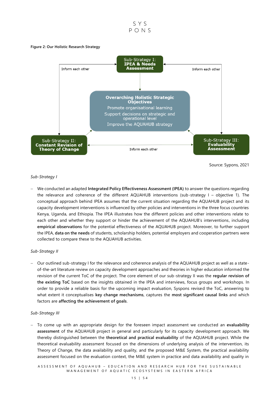

#### <span id="page-15-0"></span>**Figure 2: Our Holistic Research Strategy**



Source: Sypons, 2021

#### *Sub-Strategy I*

− We conducted an adapted **Integrated Policy Effectiveness Assessment (IPEA)** to answer the questions regarding the relevance and coherence of the different AQUAHUB interventions (sub-strategy I – objective 1). The conceptual approach behind IPEA assumes that the current situation regarding the AQUAHUB project and its capacity development interventions is influenced by other policies and interventions in the three focus countries Kenya, Uganda, and Ethiopia. The IPEA illustrates how the different policies and other interventions relate to each other and whether they support or hinder the achievement of the AQUAHUB's interventions, including **empirical observations** for the potential effectiveness of the AQUAHUB project. Moreover, to further support the IPEA, **data on the needs** of students, scholarship holders, potential employers and cooperation partners were collected to compare these to the AQUAHUB activities.

#### *Sub-Strategy II*

− Our outlined sub-strategy I for the relevance and coherence analysis of the AQUAHUB project as well as a stateof-the-art literature review on capacity development approaches and theories in higher education informed the revision of the current ToC of the project. The core element of our sub-strategy II was the **regular revision of the existing ToC** based on the insights obtained in the IPEA and interviews, focus groups and workshops. In order to provide a reliable basis for the upcoming impact evaluation, Syspons revised the ToC, answering to what extent it conceptualises **key change mechanisms**, captures the **most significant causal links** and which factors are **affecting the achievement of goals**.

#### *Sub-Strategy III*

− To come up with an appropriate design for the foreseen impact assessment we conducted an **evaluability assessment** of the AQUAHUB project in general and particularly for its capacity development approach. We thereby distinguished between the **theoretical and practical evaluability** of the AQUAHUB project. While the theoretical evaluability assessment focused on the dimensions of underlying analysis of the intervention, its Theory of Change, the data availability and quality, and the proposed M&E System, the practical availability assessment focused on the evaluation context, the M&E system in practice and data availability and quality in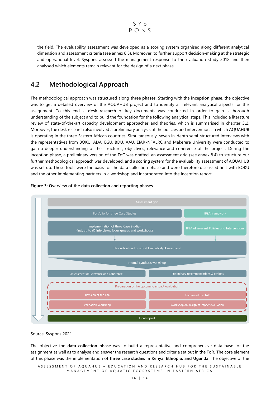

the field. The evaluability assessment was developed as a scoring system organised along different analytical dimension and assessment criteria (see annex 8.5). Moreover, to further support decision-making at the strategic and operational level, Syspons assessed the management response to the evaluation study 2018 and then analysed which elements remain relevant for the design of a next phase.

### <span id="page-16-0"></span>**4.2 Methodological Approach**

The methodological approach was structured along **three phases**. Starting with the **inception phase**, the objective was to get a detailed overview of the AQUAHUB project and to identify all relevant analytical aspects for the assignment. To this end, a **desk research** of key documents was conducted in order to gain a thorough understanding of the subject and to build the foundation for the following analytical steps. This included a literature review of state-of-the-art capacity development approaches and theories, which is summarised in chapter 3.2. Moreover, the desk research also involved a preliminary analysis of the policies and interventions in which AQUAHUB is operating in the three Eastern African countries. Simultaneously, seven in-depth semi-structured interviews with the representatives from BOKU, ADA, EGU, BDU, AAU, EIAR-NFALRC and Makerere University were conducted to gain a deeper understanding of the structures, objectives, relevance and coherence of the project. During the inception phase, a preliminary version of the ToC was drafted, an assessment grid (see annex 8.4) to structure our further methodological approach was developed, and a scoring system for the evaluability assessment of AQUAHUB was set up. These tools were the basis for the data collection phase and were therefore discussed first with BOKU and the other implementing partners in a workshop and incorporated into the inception report.



#### <span id="page-16-1"></span>**Figure 3: Overview of the data collection and reporting phases**

Source: Syspons 2021

The objective the **data collection phase** was to build a representative and comprehensive data base for the assignment as well as to analyse and answer the research questions and criteria set out in the ToR. The core element of this phase was the implementation of **three case studies in Kenya, Ethiopia, and Uganda**. The objective of the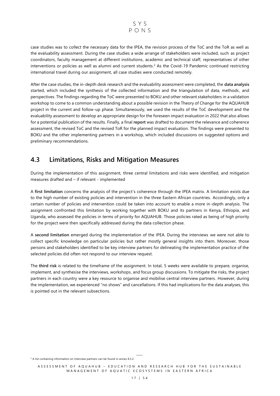

case studies was to collect the necessary data for the IPEA, the revision process of the ToC and the ToR as well as the evaluability assessment. During the case studies a wide arrange of stakeholders were included, such as project coordinators, faculty management at different institutions, academic and technical staff, representatives of other interventions or policies as well as alumni and current students. <sup>2</sup> As the Covid-19 Pandemic continued restricting international travel during our assignment, all case studies were conducted remotely.

After the case studies, the in-depth desk research and the evaluability assessment were completed, the **data analysis** started, which included the synthesis of the collected information and the triangulation of data, methods , and perspectives. The findings regarding the ToC were presented to BOKU and other relevant stakeholders in a validation workshop to come to a common understanding about a possible revision in the Theory of Change for the AQUAHUB project in the current and follow-up phase. Simultaneously, we used the results of the ToC development and the evaluability assessment to develop an appropriate design for the foreseen impact evaluation in 2022 that also allows for a potential publication of the results. Finally, a final **report** was drafted to document the relevance and coherence assessment, the revised ToC and the revised ToR for the planned impact evaluation. The findings were presented to BOKU and the other implementing partners in a workshop, which included discussions on suggested options and preliminary recommendations.

### <span id="page-17-0"></span>**4.3 Limitations, Risks and Mitigation Measures**

During the implementation of this assignment, three central limitations and risks were identified, and mitigation measures drafted and – if relevant - implemented

A **first limitation** concerns the analysis of the project's coherence through the IPEA matrix. A limitation exists due to the high number of existing policies and intervention in the three Eastern African countries. Accordingly, only a certain number of policies and intervention could be taken into account to enable a more in-depth analysis. The assignment confronted this limitation by working together with BOKU and its partners in Kenya, Ethiopia, and Uganda, who assessed the policies in terms of priority for AQUAHUB. Those policies rated as being of high priority for the project were then specifically addressed during the data collection phase.

A **second limitation** emerged during the implementation of the IPEA. During the interviews we were not able to collect specific knowledge on particular policies but rather mostly general insights into them. Moreover, those persons and stakeholders identified to be key interview partners for delineating the implementation practice of the selected policies did often not respond to our interview request.

The **third risk** is related to the timeframe of the assignment. In total, 5 weeks were available to prepare, organise, implement, and synthesise the interviews, workshops, and focus group discussions. To mitigate the risks, the project partners in each country were a key resource to organise and mobilise central interview partners . However, during the implementation, we experienced "no shows" and cancellations. If this had implications for the data analyses, this is pointed out in the relevant subsections.

 $2$  A list containing information on interview partners can be found in annex 8.3.2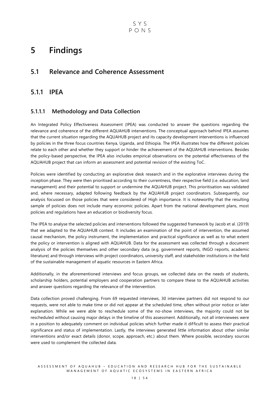## <span id="page-18-0"></span>**5 Findings**

### <span id="page-18-1"></span>**5.1 Relevance and Coherence Assessment**

### <span id="page-18-2"></span>**5.1.1 IPEA**

#### **5.1.1.1 Methodology and Data Collection**

An Integrated Policy Effectiveness Assessment (IPEA) was conducted to answer the questions regarding the relevance and coherence of the different AQUAHUB interventions. The conceptual approach behind IPEA assumes that the current situation regarding the AQUAHUB project and its capacity development interventions is influenced by policies in the three focus countries Kenya, Uganda, and Ethiopia. The IPEA illustrates how the different policies relate to each other and whether they support or hinder the achievement of the AQUAHUB interventions. Besides the policy-based perspective, the IPEA also includes empirical observations on the potential effectiveness of the AQUAHUB project that can inform an assessment and potential revision of the existing ToC.

Policies were identified by conducting an explorative desk research and in the explorative interviews during the inception phase. They were then prioritised according to their currentness, their respective field (i.e. education, land management) and their potential to support or undermine the AQUAHUB project. This prioritisation was validated and, where necessary, adapted following feedback by the AQUAHUB project coordinators. Subsequently, our analysis focussed on those policies that were considered of High importance. It is noteworthy that the resulting sample of policies does not include many economic policies. Apart from the national development plans, most policies and regulations have an education or biodiversity focus.

The IPEA to analyse the selected policies and interventions followed the suggested framework by Jacob et al. (2019) that we adapted to the AQUAHUB context. It includes an examination of the point of intervention, the assumed causal mechanism, the policy instrument, the implementation and practical significance as well as to what extent the policy or intervention is aligned with AQUAHUB. Data for the assessment was collected through a document analysis of the policies themselves and other secondary data (e.g. government reports, INGO reports, academic literature) and through interviews with project coordinators, university staff, and stakeholder institutions in the field of the sustainable management of aquatic resources in Eastern Africa.

Additionally, in the aforementioned interviews and focus groups, we collected data on the needs of students, scholarship holders, potential employers and cooperation partners to compare these to the AQUAHUB activities and answer questions regarding the relevance of the intervention.

Data collection proved challenging. From 69 requested interviews, 30 interview partners did not respond to our requests, were not able to make time or did not appear at the scheduled time, often without prior notice or later explanation. While we were able to reschedule some of the no-show interviews, the majority could not be rescheduled without causing major delays in the timeline of this assessment. Additionally, not all interviewees were in a position to adequately comment on individual policies which further made it difficult to assess their practical significance and status of implementation. Lastly, the interviews generated little information about other similar interventions and/or exact details (donor, scope, approach, etc.) about them. Where possible, secondary sources were used to complement the collected data.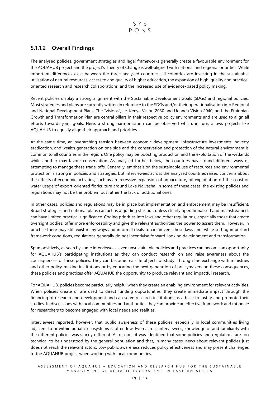SYS PONS

#### **5.1.1.2 Overall Findings**

The analysed policies, government strategies and legal frameworks generally create a favourable environment for the AQUAHUB project and the project's Theory of Change is well-aligned with national and regional priorities. While important differences exist between the three analysed countries, all countries are investing in the sustainable utilisation of natural resources, access to and quality of higher education, the expansion of high-quality and practiceoriented research and research collaborations, and the increased use of evidence-based policy making.

Recent policies display a strong alignment with the Sustainable Development Goals (SDGs) and regional policies. Most strategies and plans are currently written in reference to the SDGs and/or their operationalisation into Regional and National Development Plans. The "visions", i.e. Kenya Vision 2030 and Uganda Vision 2040, and the Ethiopian Growth and Transformation Plan are central pillars in their respective policy environments and are used to align all efforts towards joint goals. Here, a strong harmonisation can be observed which, in turn, allows projects like AQUAHUB to equally align their approach and priorities.

At the same time, an overarching tension between economic development, infrastructure investments, poverty eradication, and wealth generation on one side and the conservation and protection of the natural environment is common to all countries in the region. One policy may be boosting production and the exploitation of the wetlands while another may favour conservation. As analysed further below, the countries have found different ways of attempting to manage these trade-offs. Generally, emphasis on the sustainable use of resources and environmental protection is strong in policies and strategies, but interviewees across the analysed countries raised concerns about the effects of economic activities, such as an excessive expansion of aquaculture, oil exploitation off the coast or water usage of export-oriented floriculture around Lake Naivasha. In some of these cases, the existing policies and regulations may not be the problem but rather the lack of additional ones.

In other cases, policies and regulations may be in place but implementation and enforcement may be insufficient. Broad strategies and national plans can act as a guiding star but, unless clearly operationalised and mainstreamed, can have limited practical significance. Coding priorities into laws and other regulations, especially those that create oversight bodies, offer more enforceability and give the relevant authorities the power to assert them. However, in practice there may still exist many ways and informal deals to circumvent these laws and, while setting important framework conditions, regulations generally do not incentivise forward-looking development and transformation.

Spun positively, as seen by some interviewees, even unsustainable policies and practices can become an opportunity for AQUAHUB's participating institutions as they can conduct research on and raise awareness about the consequences of these policies. They can become real-life objects of study. Through the exchange with ministries and other policy-making institutions or by educating the next generation of policymakers on these consequences, these policies and practices offer AQUAHUB the opportunity to produce relevant and impactful research.

For AQUAHUB, policies become particularly helpful when they create an enabling environment for relevant activ ities. When policies create or are used to direct funding opportunities, they create immediate impact through the financing of research and development and can serve research institutions as a base to justify and promote their studies. In discussions with local communities and authorities they can provide an effective framework and rationale for researchers to become engaged with local needs and realities.

Interviewees reported, however, that public awareness of these policies, especially in local communities living adjacent to or within aquatic ecosystems is often low. Even across interviewees, knowledge of and familiarity with the different policies was starkly different. As reasons it was identified that some policies and regulations are too technical to be understood by the general population and that, in many cases, news about relevant policies just does not reach the relevant actors. Low public awareness reduces policy effectiveness and may present challenges to the AQUAHUB project when working with local communities.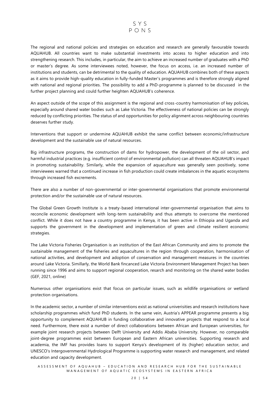

The regional and national policies and strategies on education and research are generally favourable towards AQUAHUB. All countries want to make substantial investments into access to higher education and into strengthening research. This includes, in particular, the aim to achieve an increased number of graduates with a PhD or master's degree. As some interviewees noted, however, the focus on access, i.e. an increased number of institutions and students, can be detrimental to the quality of education. AQUAHUB combines both of these aspects as it aims to provide high-quality education in fully-funded Master's programmes and is therefore strongly aligned with national and regional priorities. The possibility to add a PhD-programme is planned to be discussed in the further project planning and could further heighten AQUAHUB's coherence.

An aspect outside of the scope of this assignment is the regional and cross-country harmonisation of key policies, especially around shared water bodies such as Lake Victoria. The effectiveness of national policies can be strongly reduced by conflicting priorities. The status of and opportunities for policy alignment across neighbouring countries deserves further study.

Interventions that support or undermine AQUAHUB exhibit the same conflict between economic/infrastructure development and the sustainable use of natural resources.

Big infrastructure programs, the construction of dams for hydropower, the development of the oil sector, and harmful industrial practices (e.g. insufficient control of environmental pollution) can all threaten AQUAHUB's impact in promoting sustainability. Similarly, while the expansion of aquaculture was generally seen positively, some interviewees warned that a continued increase in fish production could create imbalances in the aquatic ecosystems through increased fish excrements.

There are also a number of non-governmental or inter-governmental organisations that promote environmental protection and/or the sustainable use of natural resources.

The Global Green Growth Institute is a treaty-based international inter-governmental organisation that aims to reconcile economic development with long-term sustainability and thus attempts to overcome the mentioned conflict. While it does not have a country programme in Kenya, it has been active in Ethiopia and Uganda and supports the government in the development and implementation of green and climate resilient economic strategies.

The Lake Victoria Fisheries Organisation is an institution of the East African Community and aims to promote the sustainable management of the fisheries and aquacultures in the region through cooperation, harmonisation of national activities, and development and adoption of conservation and management measures in the countries around Lake Victoria. Simillarly, the World Bank fincanced Lake Victoria Environment Management Project has been running since 1996 and aims to support regional cooperation, resarch and monitoring on the shared water bodies (GEF, 2021, online)

Numerous other organisations exist that focus on particular issues, such as wildlife organisations or wetland protection organisations.

In the academic sector, a number of similar interventions exist as national univerisities and research institutions have scholarship programmes which fund PhD students. In the same vein, Austria's APPEAR programme presents a big opportunity to complement AQUAHUB in funding collaborative and innovative projects that respond to a local need. Furthermore, there exist a number of direct collaborations between African and European universities, for example joint research projects between Delft University and Addis Ababa University. However, no comparable joint-degree programmes exist between European and Eastern African universities. Supporting research and academia, the IMF has provides loans to support Kenya's development of its (higher) education sector, and UNESCO's Intergovernmental Hydrological Programme is supporting water research and management, and related education and capacity development.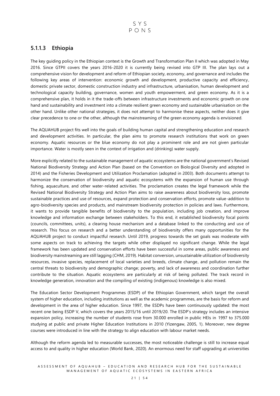#### **5.1.1.3 Ethiopia**

The key guiding policy in the Ethiopian context is the Growth and Transformation Plan II which was adopted in May 2016. Since GTPII covers the years 2016-2020 it is currently being revised into GTP III. The plan lays out a comprehensive vision for development and reform of Ethiopian society, economy, and governance and includes the following key areas of intervention: economic growth and development, productive capacity and efficiency, domestic private sector, domestic construction industry and infrastructure, urbanisation, human development and technological capacity building, governance, women and youth empowerment, and green economy. As it is a comprehensive plan, it holds in it the trade-offs between infrastructure investments and economic growth on one hand and sustainability and investment into a climate resilient green economy and sustainable urbanisation on the other hand. Unlike other national strategies, it does not attempt to harmonise these aspects, neither does it give clear precedence to one or the other, although the mainstreaming of the green economy agenda is envisioned.

The AQUAHUB project fits well into the goals of building human capital and strengthening education and research and development activities. In particular, the plan aims to promote research institutions that work on green economy. Aquatic resources or the blue economy do not play a prominent role and are not given particular importance. Water is mostly seen in the context of irrigation and (drinking) water supply.

More explicitly related to the sustainable management of aquatic ecosystems are the national government's Revised National Biodiversity Strategy and Action Plan (based on the Convention on Biological Diversity and adopted in 2014) and the Fisheries Development and Utilization Proclamation (adopted in 2003). Both documents attempt to harmonize the conservation of biodiversity and aquatic ecosystems with the expansion of human use through fishing, aquaculture, and other water-related activities. The proclamation creates the legal framework while the Revised National Biodiversity Strategy and Action Plan aims to raise awareness about biodiversity loss, promote sustainable practices and use of resources, expand protection and conservation efforts, promote value-addition to agro-biodiversity species and products, and mainstream biodiversity protection in policies and laws. Furthermore, it wants to provide tangible benefits of biodiversity to the population, including job creation, and improve knowledge and information exchange between stakeholders. To this end, it established biodiversity focal points (councils, committees, units), a clearing house mechanism and a database linked to the conducting and use of research. This focus on research and a better understanding of biodiversity offers many opportunities for the AQUAHUB project to conduct impactful research. Until 2019, progress towards the set goals was moderate with some aspects on track to achieving the targets while other displayed no significant change. While the legal framework has been updated and conservation efforts have been successful in some areas, public awareness and biodiversity mainstreaming are still lagging (CHM, 2019). Habitat conversion, unsustainable utilization of biodiversity resources, invasive species, replacement of local varieties and breeds, climate change, and pollution remain the central threats to biodiversity and demographic change; poverty, and lack of awareness and coordination further contribute to the situation. Aquatic ecosystems are particularly at risk of being polluted. The track record in knowledge generation, innovation and the compiling of existing (indigenous) knowledge is also mixed.

The Education Sector Development Programmes (ESDP) of the Ethiopian Government, which target the overall system of higher education, including institutions as well as the academic programmes, are the basis for reform and development in the area of higher education. Since 1997, the ESDPs have been continuously updated: the most recent one being ESDP V, which covers the years 2015/16 until 2019/20. The ESDP's strategy includes an intensive expansion policy, increasing the number of students rose from 30.000 enrolled in public HEIs in 1997 to 375.000 studying at public and private Higher Education Institutions in 2010 (Yizengaw, 2005, 1). Moreover, new degree courses were introduced in line with the strategy to align education with labour market needs.

Although the reform agenda led to measurable successes, the most noticeable challenge is still to increase equal access to and quality in higher education (World Bank, 2020). An enormous need for staff upgrading at universities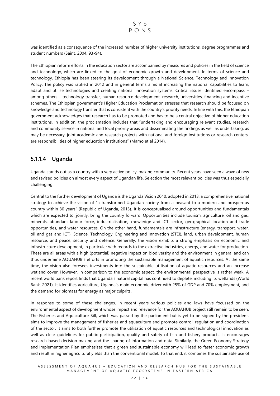

was identified as a consequence of the increased number of higher university institutions, degree programmes and student numbers (Saint, 2004, 93-94).

The Ethiopian reform efforts in the education sector are accompanied by measures and policies in the field of science and technology, which are linked to the goal of economic growth and development. In terms of science and technology, Ethiopia has been steering its development through a National Science, Technology and Innovation Policy. The policy was ratified in 2012 and in general terms aims at increasing the national capabilities to learn, adapt and utilise technologies and creating national innovation systems. Critical issues identified encompass – among others – technology transfer, human resource development, research, universities, financing and incentive schemes. The Ethiopian government's Higher Education Proclamation stresses that research should be focused on knowledge and technology transfer that is consistent with the country's priority needs. In line with this, the Ethiopian government acknowledges that research has to be promoted and has to be a central objective of higher education institutions. In addition, the proclamation includes that "undertaking and encouraging relevant studies, research and community service in national and local priority areas and disseminating the findings as well as undertaking, as may be necessary, joint academic and research projects with national and foreign institutions or research centers, are responsibilities of higher education institutions" (Mamo et al 2014).

#### **5.1.1.4 Uganda**

Uganda stands out as a country with a very active policy-making community. Recent years have seen a wave of new and revised policies on almost every aspect of Ugandan life. Selection the most relevant policies was thus especially challenging.

Central to the further development of Uganda is the Uganda Vision 2040, adopted in 2013, a comprehensive national strategy to achieve the vision of "a transformed Ugandan society from a peasant to a modern and prosperous country within 30 years" (Republic of Uganda, 2013). It is conceptualised around opportunities and fundamentals which are expected to, jointly, bring the country forward. Opportunities include tourism, agriculture, oil and gas, minerals, abundant labour force, industrialisation, knowledge and ICT sector, geographical location and trade opportunities, and water resources. On the other hand, fundamentals are infrastructure (energy, transport, water, oil and gas and ICT), Science, Technology, Engineering and Innovation (STEI), land, urban development, human resource, and peace, security and defence. Generally, the vision exhibits a strong emphasis on economic and infrastructure development, in particular with regards to the extractive industries, energy, and water for production. These are all areas with a high (potential) negative impact on biodiversity and the environment in general and can thus undermine AQUAHUB's efforts in promoting the sustainable management of aquatic resources. At the same time, the vision also foresees investments into the sustainable utilisation of aquatic resources and an increase wetland cover. However, in comparison to the economic aspect, the environmental perspective is rather weak. A recent world bank report finds that Uganda's natural capital has continued to deplete, including its wetlands (World Bank, 2021). It identifies agriculture, Uganda's main economic driver with 25% of GDP and 70% employment, and the demand for biomass for energy as major culprits.

In response to some of these challenges, in recent years various policies and laws have focussed on the environmental aspect of development whose impact and relevance for the AQUAHUB project still remain to be seen. The Fisheries and Aquaculture Bill, which was passed by the parliament but is yet to be signed by the president, aims to improve the management of fisheries and aquaculture and promote control, regulation and coordination of the sector. It aims to both further promote the utilisation of aquatic resources and technological innovation as well as clear guidelines for public participation, quality and safety of fish and fishery products. It encourages research-based decision making and the sharing of information and data. Similarly, the Green Economy Strategy and Implementation Plan emphasises that a green and sustainable economy will lead to faster economic growth and result in higher agricultural yields than the conventional model. To that end, it combines the sustainable use of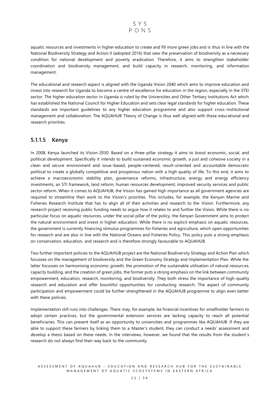aquatic resources and investments in higher education to create and fill more green jobs and is thus in line with the National Biodiversity Strategy and Action II (adopted 2016) that sees the preservation of biodiversity as a necessary condition for national development and poverty eradication. Therefore, it aims to strengthen stakeholder coordination and biodiversity management, and build capacity in research, monitoring, and information management.

The educational and research aspect is aligned with the Uganda Vision 2040 which aims to improve education and invest into research for Uganda to become a centre of excellence for education in the region, especially in the STEI sector. The higher education sector in Uganda is ruled by the Universities and Other Tertiary Institutions Act which has established the National Council for Higher Education and sets clear legal standards for higher education. These standards are important guidelines to any higher education programme and also support cross -institutional management and collaboration. The AQUAHUB Theory of Change is thus well aligned with these educational and research priorities.

#### **5.1.1.5 Kenya**

In 2008, Kenya launched its Vision 2030. Based on a three-pillar strategy it aims to boost economic, social, and political development. Specifically it intends to build sustained economic growth, a just and cohesive society in a clean and secure environment and issue-based, people-centered, result-oriented and accountable democratic political to create a globally competitive and prosperous nation with a high quality of life. To this end, it aims to achieve a macroeconomic stability plan, governance reforms, infrastructure, energy and energy efficiency investments, an STI framework, land reform, human resources development, improved security services and public sector reform. When it comes to AQUAHUB, the Vision has gained high importance as all government agencies are required to streamline their work to the Vision's priorities. This includes, for example, the Kenyan Marine and Fisheries Research Institute that has to align all of their activities and research to the Vision. Furthermore, any research project receiving public funding needs to argue how it relates to and further the Vision. While there is no particular focus on aquatic resources, under the social pillar of the policy, the Kenyan Government aims to protect the natural environment and invest in higher education. While there is no explicit emphasis on aquatic resources, the government is currently financing stimulus programmes for fisheries and agriculture, which open opportunities for research and are also in line with the National Oceans and Fisheries Policy. This policy puts a strong emphasis on conservation, education, and research and is therefore strongly favourable to AQUAHUB.

Two further important policies to the AQUAHUB project are the National Biodiversity Strategy and Action Plan which focusses on the management of biodiversity and the Green Economy Strategy and Implementation Plan. While the latter focusses on harmonising economic growth, the promotion of the sustainable utilisation of natural resources, capacity building, and the creation of green jobs, the former puts a strong emphasis on the link between community empowerment, education, research, monitoring, and biodiversity. They both stress the importance of high-quality research and education and offer bountiful opportunities for conducting research. The aspect of community participation and empowerment could be further strengthened in the AQUAHUB programme to align even better with these policies.

Implementation still runs into challenges. There may, for example, be financial incentives for smallholder farmers to adopt certain practices, but the governmental extension services are lacking capacity to reach all potential beneficiaries. This can present itself as an opportunity to universities and programmes like AQUAHUB. If they are able to support these farmers by linking them to a Master's student, they can conduct a needs' assessment and develop a thesis based on these needs. In the interviews, however, we found that the results from the student's research do not always find their way back to the community.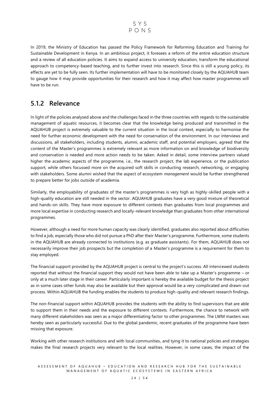

In 2019, the Ministry of Education has passed the Policy Framework for Reforming Education and Training for Sustainable Development in Kenya. In an ambitious project, it foresees a reform of the entire education structure and a review of all education policies. It aims to expand access to university education, transform the educational approach to competency-based teaching, and to further invest into research. Since this is still a young policy, its effects are yet to be fully seen. Its further implementation will have to be monitored closely by the AQUAHUB team to gauge how it may provide opportunities for their research and how it may affect how master programmes will have to be run.

#### <span id="page-24-0"></span>**5.1.2 Relevance**

In light of the policies analysed above and the challenges faced in the three countries with regards to the sustainable management of aquatic resources, it becomes clear that the knowledge being produced and transmitted in the AQUAHUB project is extremely valuable to the current situation in the local context, especially to harmonise the need for further economic development with the need for conservation of the environment. In our interviews and discussions, all stakeholders, including students, alumni, academic staff, and potential employers, agreed that the content of the Master's programmes is extremely relevant as more information on and knowledge of biodiversity and conservation is needed and more action needs to be taken. Asked in detail, some interview partners valued higher the academic aspects of the programme, i.e., the research project, the lab experience, or the publication support, while others focussed more on the acquired soft skills in conducting research, networking, or engaging with stakeholders. Some alumni wished that the aspect of ecosystem *management* would be further strengthened to prepare better for jobs outside of academia.

Similarly, the employability of graduates of the master's programmes is very high as highly-skilled people with a high-quality education are still needed in the sector. AQUAHUB graduates have a very good mixture of theoretical and hands-on skills. They have more exposure to different contexts than graduates from local programmes and more local expertise in conducting research and locally-relevant knowledge than graduates from other international programmes.

However, although a need for more human capacity was clearly identified, graduates also reported about difficulties to find a job, especially those who did not pursue a PhD after their Master's programme. Furthermore, some students in the AQUAHUB are already connected to institutions (e.g. as graduate assistants). For them, AQUAHUB does not necessarily improve their job prospects but the completion of a Master's programme is a requirement for them to stay employed.

The financial support provided by the AQUAHUB project is central to the project's success. All interviewed students reported that without the financial support they would not have been able to take up a Master's programme – or only at a much later stage in their career. Particularly important is hereby the available budget for the thesis project as in some cases other funds may also be available but their approval would be a very complicated and drawn-out process. Within AQUAHUB the funding enables the students to produce high-quality and relevant research findings.

The non-financial support within AQUAHUB provides the students with the ability to find supervisors that are able to support them in their needs and the exposure to different contexts. Furthermore, the chance to network with many different stakeholders was seen as a major differentiating factor to other programmes. The LWM masters was hereby seen as particularly successful. Due to the global pandemic, recent graduates of the programme have been missing that exposure.

Working with other research institutions and with local communities, and tying it to national policies and strategies makes the final research projects very relevant to the local realities. However, in some cases, the impact of the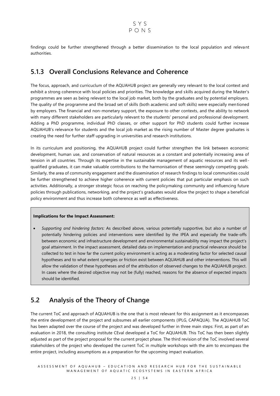findings could be further strengthened through a better dissemination to the local population and relevant authorities.

### <span id="page-25-0"></span>**5.1.3 Overall Conclusions Relevance and Coherence**

The focus, approach, and curricuclum of the AQUAHUB project are generally very relevant to the local context and exhibit a strong coherence with local policies and priorities. The knowledge and skills acquired during the Master's programmes are seen as being relevant to the local job market, both by the graduates and by potential employers. The quality of the programme and the broad set of skills (both academic and soft skills) were especially mentioned by employers. The financial and non-monetary support, the exposure to other contexts, and the ability to network with many different stakeholders are particularly relevant to the students' personal and professional development. Adding a PhD programme, individual PhD classes, or other support for PhD students could further increase AQUAHUB's relevance for students and the local job market as the rising number of Master degree graduates is creating the need for further staff upgrading in universities and research institutions.

In its curriculum and positioning, the AQUAHUB project could further strengthen the link between economic development, human use, and conservation of natural resources as a constant and potentially increasing area of tension in all countries. Through its expertise in the sustainable management of aquatic resources and its well qualified graduates, it can make valuable contributions to the harmonisation of these seemingly competing goals. Similarly, the area of community engagement and the dissemination of research findings to local communities could be further strengthened to achieve higher coherence with current policies that put particular emphasis on such activities. Additionally, a stronger strategic focus on reaching the policymaking community and influencing future policies through publications, networking, and the project's graduates would allow the project to shape a beneficial policy environment and thus increase both coherence as well as effectiveness.

#### **Implications for the Impact Assessment:**

• *Supporting and hindering factors:* As described above, various potentially supportive, but also a number of potentially hindering policies and interventions were identified by the IPEA and especially the trade-offs between economic and infrastructure development and environmental sustainability may impact the project's goal attainment. In the impact assessment, detailed data on implementation and practical relevance should be collected to test in how far the current policy environment is acting as a moderating factor for selected causal hypotheses and to what extent synergies or friction exist between AQUAHUB and other interventions. This will allow the validation of these hypotheses and of the attribution of observed changes to the AQUAHUB project. In cases where the desired objective may not be (fully) reached, reasons for the absence of expected impacts should be identified.

### <span id="page-25-1"></span>**5.2 Analysis of the Theory of Change**

The current ToC and approach of AQUAHUB is the one that is most relevant for this assignment as it encompasses the entire development of the project and subsumes all earlier components (IPLG, CAPAQUA). The AQUAHUB ToC has been adapted over the course of the project and was developed further in three main steps: First, as part of an evaluation in 2018, the consulting institute CEval developed a ToC for AQUAHUB. This ToC has then been slightly adjusted as part of the project proposal for the current project phase. The third revision of the ToC involved several stakeholders of the project who developed the current ToC in multiple workshops with the aim to encompass the entire project, including assumptions as a preparation for the upcoming impact evaluation.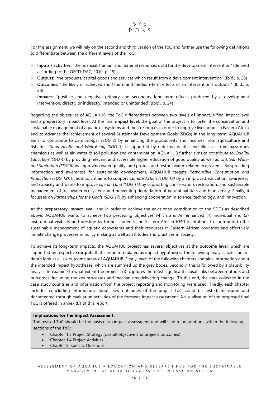

For this assignment, we will rely on the second and third version of the ToC and further use the following definitions to differentiate between the different levels of the ToC:

- − **Inputs / activities:** "the financial, human, and material resources used for the development intervention" (defined according to the OECD-DAC, 2010, p. 25)
- − **Outputs:** "the products, capital goods and services which result from a development intervention" (Ibid., p. 28)
- − **Outcomes:** "the likely or achieved short-term and medium-term effects of an intervention's outputs." (Ibid., p. 28)
- − **Impacts:** "positive and negative, primary and secondary long-term effects produced by a development intervention, directly or indirectly, intended or unintended" (Ibid., p. 24)

Regarding the objectives of AQUAHUB, the ToC differentiates between **two levels of impact**, a final impact level and a preparatory impact level. At the final **impact level**, the goal of the project is to foster the conservation and sustainable management of aquatic ecosystems and their resources in order to improve livelihoods in Eastern Africa and to advance the achievement of several Sustainable Development Goals (SDGs) in the long-term: AQUAHUB aims to contribute to *Zero Hunger (SDG 2)* by enhancing the productivity and incomes from aquaculture and fisheries. *Good Health and Well-Being (SDG 3)* is supported by reducing deaths and illnesses from hazardous chemicals as well as air, water & soil pollution and contamination. AQUAHUB further aims to contribute to *Quality Education (SGD 4)* by providing relevant and accessible higher education of good quality as well as to *Clean Water and Sanitation (SDG 6)* by improving water quality, and protect and restore water-related ecosystems. By spreading information and awareness for sustainable development, AQUAHUB targets *Responsible Consumption and Production (SDG 12)*. In addition, it aims to support *Climate Action (SDG 13)* by an improved education, awareness, and capacity and wants to improve *Life on Land (SDG 15)* by supporting conservation, restoration, and sustainable management of freshwater ecosystems and preventing degradation of natural habitats and biodiversity. Finally, it focusses on *Partnerships for the Goals (SDG 17)* by enhancing cooperation in science, technology, and innovation.

At the **preparatory impact level,** and in order to achieve the envisioned contribution to the SDGs as described above, AQUAHUB wants to achieve two preceding objectives which are: An enhanced (1) individual and (2) institutional visibility and prestige by former students and Eastern African HEST institutions to contribute to the sustainable management of aquatic ecosystems and their resources in Eastern African countries and effectively initiate change processes in policy making as well as attitudes and practices in society.

To achieve its long-term impacts, the AQUAHUB project has several objectives at the **outcome level**, which are supported by respective **outputs** that can be formulated as impact hypotheses. The following analysis takes an indepth look at all six outcome areas of AQUAHUB. Firstly, each of the following chapters contains information about the intended impact hypotheses, which are summed up the grey boxes. Secondly, this is followed by a plausibility analysis to examine to what extent the project ToC captures the most significant causal links between outputs and outcomes, including the key processes and mechanisms delivering change. To this end, the data collected in the case study countries and information from the project reporting and monitoring were used. Thirdly, each chapter includes concluding information about how outcomes of the project ToC could be tested, measured and documented through evaluation activities of the foreseen impact assessment. A visualisation of the proposed final ToC is offered in annex 8.1 of this report.

#### **Implications for the Impact Assessment:**

The revised ToC should be the basis of an impact assessment und will lead to adaptations within the following sections of the ToR:

- Chapter 1.3 Project Strategy (overall objective and projects outcomes)
- Chapter 1.4 Project Activities
- Chapter 5. Specific Questions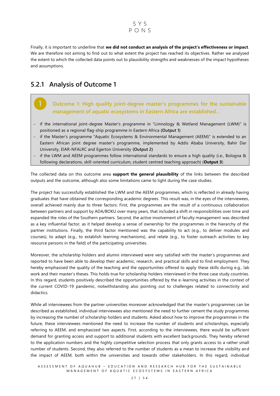#### SYS PONS

Finally, it is important to underline that **we did not conduct an analysis of the project's effectiveness or impact**. We are therefore not aiming to find out to what extent the project has reached its objectives. Rather we analysed the extent to which the collected data points out to plausibility strengths and weaknesses of the impact hypotheses and assumptions.

### <span id="page-27-0"></span>**5.2.1 Analysis of Outcome 1**

**Outcome 1: High quality joint-degree master's programmes for the sustainable management of aquatic ecosystems in Eastern Africa are established…**

- − if the international joint-degree Master's programme in "Limnology & Wetland Management (LWM)" is positioned as a regional flag-ship programme in Eastern Africa **(Output 1)**
- − if the Master's programme "Aquatic Ecosystems & Environmental Management (AEEM)" is extended to an Eastern African joint degree master's programme, implemented by Addis Ababa University, Bahir Dar University, EIAR-NFALRC and Egerton University **(Output 2)**
- if the LWM and AEEM programmes follow international standards to ensure a high quality (i.e., Bologna & following declarations, skill-oriented curriculum, student centred teaching approach) (**Output 3**)

The collected data on this outcome area **support the general plausibility** of the links between the described outputs and the outcome, although also some limitations came to light during the case studies.

The project has successfully established the LWM and the AEEM programmes, which is reflected in already having graduates that have obtained the corresponding academic degrees. This result was, in the eyes of the interviewees, overall achieved mainly due to three factors: First, the programmes are the result of a continuous collaboration between partners and support by ADA/BOKU over many years, that included a shift in responsibilities over time and expanded the roles of the Southern partners. Second, the active involvement of faculty management was described as a key influential factor, as it helped develop a sense of ownership for the programmes in the hierarchy of the partner institutions. Finally, the third factor mentioned was the capability to act (e.g., to deliver modules and courses), to adapt (e.g., to establish learning mechanisms), and relate (e.g., to foster outreach activities to key resource persons in the field) of the participating universities.

Moreover, the scholarship holders and alumni interviewed were very satisfied with the master's programmes and reported to have been able to develop their academic, research, and practical skills and to find employment. They hereby emphasised the quality of the teaching and the opportunities offered to apply these skills during e.g., lab work and their master's theses. This holds true for scholarship holders interviewed in the three case study countries. In this regard, students positively described the opportunities offered by the e-learning activities in the context of the current COVID-19 pandemic, notwithstanding also pointing out to challenges related to connectivity and didactics.

While all interviewees from the partner universities moreover acknowledged that the master's programmes can be described as established, individual interviewees also mentioned the need to further cement the study programmes by increasing the number of scholarship holders and students. Asked about how to improve the programmes in the future, these interviewees mentioned the need to increase the number of students and scholarships, especially referring to AEEM, and emphasized two aspects. First, according to the interviewees, there would be sufficient demand for granting access and support to additional students with excellent backgrounds. They hereby referred to the application numbers and the highly competitive selection process that only grants access to a rather small number of students. Second, they also referred to the number of students as a mean to increase the visibility and the impact of AEEM, both within the universities and towards other stakeholders. In this regard, individual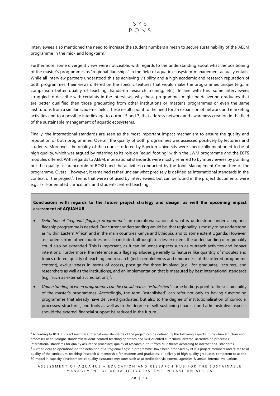interviewees also mentioned the need to increase the student numbers a mean to secure sustainability of the AEEM programme in the mid- and long-term.

Furthermore, some divergent views were noticeable, with regards to the understanding about what the positioning of the master's programmes as "regional flag ships" in the field of aquatic ecosystem management actually entails. While all interview partners understood this as achieving visibility and a high academic and research reputation of both programmes, their views differed on the specific features that would make the programmes unique (e.g., in comparison better quality of teaching, hands-on research training, etc.). In line with this, some interviewees struggled to describe with certainty in the interviews, why these programmes might be delivering graduates that are better qualified then those graduating from other institutions or master's programmes or even the same institutions from a similar academic field. These results point to the need for an expansion of network and marketing activities and to a possible interlinkage to output 5 and 7, that address network and awareness creation in the field of the sustainable management of aquatic ecosystems.

Finally, the international standards are seen as the most important impact mechanism to ensure the quality and reputation of both programmes. Overall, the quality of both programmes was assessed positively by lecturers and students. Moreover, the quality of the courses offered by Egerton University were specifically mentioned to be of high quality, which was argued by referring to its role on "equal footing" within the LWM programme and the ECTS modules offered. With regards to AEEM, international standards were mostly referred to by interviewees by pointing out the quality assurance role of BOKU and the activities conducted by the Joint Management Committee of the programme. Overall, however, it remained rather unclear what precisely is defined as international standards in the context of the project<sup>3</sup>. Terms that were not used by interviewees, but can be found in the project documents, were e.g., skill-orientated curriculum, and student-centred teaching.

#### **Conclusions with regards to the future project strategy and design, as well the upcoming impact assessment of AQUAHUB**:

- *Definition of "regional flagship programme"*: an operationalisation of what is understood under a regional flagship programme is needed. Our current understanding would be, that regionality is mostly to be understood as "within Eastern Africa" and in the main countries Kenya and Ethiopia, and to some extent Uganda. However, as students from other countries are also included, although to a lesser extent, the understanding of regionality could also be expanded. This is important, as it can influence aspects such as outreach activities and impact intentions. Furthermore, the reference as a flagship alludes generally to features like quantity of modules and topics offered, quality of teaching and research (incl. completeness and uniqueness of the offered programme content), exclusiveness in terms of access, prestige for those involved (e.g., for graduates, lecturers, and researchers as well as the institutions), and an implementation that is measured by best international standards (e.g., such as external accreditations)<sup>4</sup> .
- *Understanding of when programmes can be considered as "established"*: some findings point to the sustainability of the master's programmes. Accordingly, the term "established" can refer not only to having functioning programmes that already have delivered graduates, but also to the degree of institutionalisation of curricula, processes, structures, and tools as well as to the degree of self-sustaining financial and administrative aspects should the external financial support be reduced in the future.

<sup>&</sup>lt;sup>3</sup> According to BOKU project members, international standards of the project can be defined by the following aspects: Curriculum structure and processes as to Bologna standards; student-centred teaching approach and skill-oriented curriculum; external accreditaion processes; international standards for quality assurance processes; quality of research output from MSc theses according to internationa l standards. <sup>4</sup> Further ideas to operationalise the definition of a "regional flagship programme" have been proposed by BOKU project members and relate to a) quality of the curriculum, teaching, research & mentorship for students and graduates; b) delivery of high quality graduates competent to as the 5C model in capacity development; c) quality assurance measures such as accreditation via external agencies & annual internal evaluations.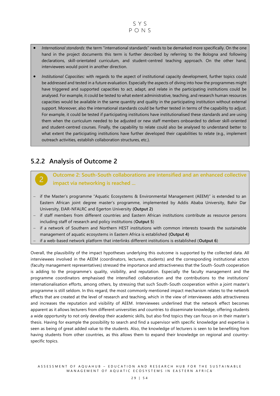

- *International standards*: the term "international standards" needs to be demarked more specifically. On the one hand in the project documents this term is further described by referring to the Bologna and following declarations, skill-orientated curriculum, and student-centred teaching approach. On the other hand, interviewees would point in another direction.
- *Institutional Capacities:* with regards to the aspect of institutional capacity development, further topics could be addressed and tested in a future evaluation. Especially the aspects of diving into how the programmes might have triggered and supported capacities to act, adapt, and relate in the participating institutions could be analysed. For example, it could be tested to what extent administrative, teaching, and research human resources capacities would be available in the same quantity and quality in the participating institution without external support. Moreover, also the international standards could be further tested in terms of the capability to adjust. For example, it could be tested if participating institutions have institutionalised these standards and are using them when the curriculum needed to be adjusted or new staff members onboarded to deliver skill-oriented and student-centred courses. Finally, the capability to relate could also be analysed to understand better to what extent the participating institutions have further developed their capabilities to relate (e.g., implement outreach activities, establish collaboration structures, etc.).

### <span id="page-29-0"></span>**5.2.2 Analysis of Outcome 2**

**Outcome 2: South-South collaborations are intensified and an enhanced collective impact via networking is reached ...**

- − if the Master's programme "Aquatic Ecosystems & Environmental Management (AEEM)" is extended to an Eastern African joint degree master's programme, implemented by Addis Ababa University, Bahir Dar University, EIAR-NFALRC and Egerton University **(Output 2)**
- − if staff members from different countries and Eastern African institutions contribute as resource persons including staff of research and policy institutions (**Output 5**)
- − if a network of Southern and Northern HEST institutions with common interests towards the sustainable management of aquatic ecosystems in Eastern Africa is established **(Output 4)**
- − if a web-based network platform that interlinks different institutions is established (**Output 6**)

Overall, the plausibility of the impact hypotheses underlying this outcome is supported by the collected data. All interviewees involved in the AEEM (coordinators, lecturers, students) and the corresponding institutional actors (faculty management representatives) stressed the importance and attractiveness that the South-South cooperation is adding to the programme's quality, visibility, and reputation. Especially the faculty management and the programme coordinators emphasised the intensified collaboration and the contributions to the institutions' internationalisation efforts, among others, by stressing that such South-South cooperation within a joint master's programme is still seldom. In this regard, the most commonly mentioned impact mechanism relates to the network effects that are created at the level of research and teaching, which in the view of interviewees adds attractiveness and increases the reputation and visibility of AEEM. Interviewees underlined that the network effect becomes apparent as it allows lecturers from different universities and countries to disseminate knowledge, offering students a wide opportunity to not only develop their academic skills, but also find topics they can focus on in their master's thesis. Having for example the possibility to search and find a supervisor with specific knowledge and expertise is seen as being of great added value to the students. Also, the knowledge of lecturers is seen to be benefiting from having students from other countries, as this allows them to expand their knowledge on regional and countryspecific topics.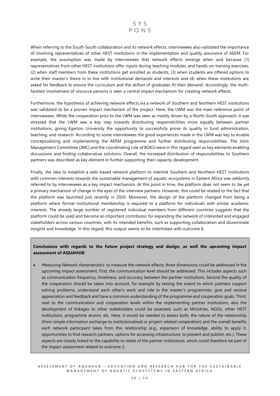

When referring to the South-South collaboration and its network effects, interviewees also validated the importance of involving representatives of other HEST institutions in the implementation and quality assurance of AEEM. For example, the assumption was made by interviewees that network effects emerge when and because (1) representatives from other HEST institutions offer inputs during teaching modules and hands-on training exercises, (2) when staff members from these institutions get enrolled as students, (3) when students are offered options to write their master's thesis in in line with institutional demands and interests and (4) when these institutions are asked for feedback to ensure the curriculum and the skillset of graduates fit their demand. Accordingly, the multifaceted involvement of resource persons is seen a central impact mechanism for creating network effects.

Furthermore, the hypothesis of achieving network effects via a network of Southern and Northern HEST institutions was validated to be a proven impact mechanism of the project. Here, the LWM was the main reference point of interviewees. While the cooperation prior to the LWM was seen as mostly driven by a North-South approach, it was stressed that the LWM was a key step towards distributing responsibilities more equally between partner institutions, giving Egerton University the opportunity to successfully prove its quality in fund administration, teaching, and research. According to some interviewees the good experiences made in the LWM was key to enable conceptualising and implementing the AEEM programme and further distributing responsibilities. The Joint Management Committee (JMC) and the coordinating role of BOKU were in this regard seen as key elements enabling discussions and finding collaborative solutions. Overall, the increased distribution of responsibilities to Southern partners was described as key element in further supporting their capacity development.

Finally, the idea to establish a web-based network platform to interlink Southern and Northern HEST institutions with common interests towards the sustainable management of aquatic ecosystems in Eastern Africa was seldomly referred to by interviewees as a key impact mechanism. At this point in time, the platform does not seem to be yet a primary mechanism of change in the eyes of the interview partners. However, this could be related to the fact that the platform was launched just recently in 2020. Moreover, the design of the platform changed from being a platform where formal institutional membership is required to a platform for individuals with similar academic interests. The already large number of registered individual members from different countries suggests that the platform could be used and become an important contributor for expanding the network of interested and engaged stakeholders across various countries, with its intended benefits, such as supporting collaboration and disseminate insights and knowledge. In this regard, this output seems to be interlinked with outcome 6.

#### **Conclusions with regards to the future project strategy and design, as well the upcoming impact assessment of AQUAHUB**:

• *Measuring Network characteristics*: to measure the network effects, three dimensions could be addressed in the upcoming impact assessment. First, the communication level should be addressed. This includes aspects such as communication frequency, timeliness, and accuracy between the partner institutions. Second the quality of the cooperation should be taken into account, for example by testing the extent to which partners support solving problems, understand each other's work and role in the master's programmes, give and receive appreciation and feedback and have a common understanding of the programme and cooperation goals. Third, next to the communication and cooperation levels within the implementing partner institutions, also the development of linkages to other stakeholders could be assessed, such as Ministries, NGOs, other HEST institutions, programme alumni, etc. Here, it would be needed to assess both, the nature of the relationship (from simple information exchange to institutionalised or project-related cooperation) and the overall benefits each network participant takes from this relationship (e.g., expansion of knowledge, ability to apply it, opportunities to find research partners, options for accessing infrastructure, to present and publish, etc.). These aspects are closely linked to the capability to relate of the partner institutions, which could therefore be part of the impact assessment related to outcome 2.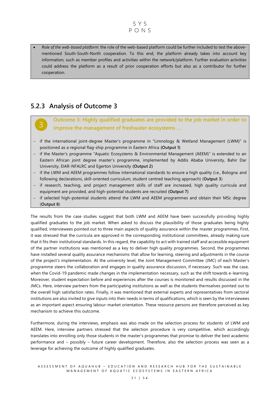• *Role of the web-based platform*: the role of the web-based platform could be further included to test the abovementioned South-South-North cooperation. To this end, the platform already takes into account key information, such as member profiles and activities within the network/platform. Further evaluation activities could address the platform as a result of prior cooperation efforts but also as a contributor for further cooperation.

### <span id="page-31-0"></span>**5.2.3 Analysis of Outcome 3**

**Outcome 3: Highly qualified graduates are provided to the job market in order to improve the management of freshwater ecosystems …**

- − if the international joint-degree Master's programme in "Limnology & Wetland Management (LWM)" is positioned as a regional flag-ship programme in Eastern Africa **(Output 1)**
- − if the Master's programme "Aquatic Ecosystems & Environmental Management (AEEM)" is extended to an Eastern African joint degree master's programme, implemented by Addis Ababa University, Bahir Dar University, EIAR-NFALRC and Egerton University **(Output 2)**
- − if the LWM and AEEM programmes follow international standards to ensure a high quality (i.e., Bologna and following declarations, skill-oriented curriculum, student centred teaching approach) (**Output 3**)
- − if research, teaching, and project management skills of staff are increased, high quality curricula and equipment are provided, and high-potential students are recruited **(Output 7)**
- if selected high-potential students attend the LWM and AEEM programmes and obtain their MSc degree (**Output 8**)

The results from the case studies suggest that both LWM and AEEM have been successfully providing highly qualified graduates to the job market. When asked to discuss the plausibility of those graduates being highly qualified, interviewees pointed out to three main aspects of quality assurance within the master programmes. First, it was stressed that the curricula are approved in the corresponding institutional committees, already making sure that it fits their institutional standards. In this regard, the capability to act with trained staff and accessible equipment of the partner institutions was mentioned as a key to deliver high quality programmes. Second, the programmes have installed several quality assurance mechanisms that allow for learning, steering and adjustments in the course of the project's implementation. At the university level, the Joint Management Committee (JMC) of each Master's programme steers the collaboration and engages in quality assurance discussion, if necessary. Such was the case, when the Covid-19 pandemic made changes in the implementation necessary, such as the shift towards e-learning. Moreover, student expectation before and experiences after the courses is monitored and results discussed in the JMCs. Here, interview partners from the participating institutions as well as the students themselves pointed out to the overall high satisfaction rates. Finally, it was mentioned that external experts and representatives from sectoral institutions are also invited to give inputs into their needs in terms of qualifications, which is seen by the interviewees as an important aspect ensuring labour-market orientation. These resource persons are therefore perceived as key mechanism to achieve this outcome.

Furthermore, during the interviews, emphasis was also made on the selection process for students of LWM and AEEM. Here, interview partners stressed that the selection procedure is very competitive, which accordingly translates into enrolling only those students in the master's programmes that promise to deliver the best academic performance and – possibly – future career development. Therefore, also the selection process was seen as a leverage for achieving the outcome of highly qualified graduates.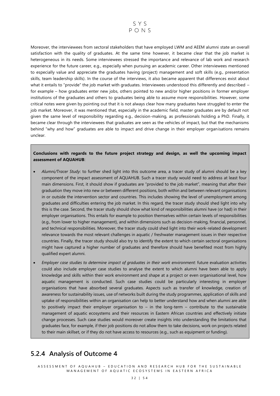

Moreover, the interviewees from sectoral stakeholders that have employed LWM and AEEM alumni state an overall satisfaction with the quality of graduates. At the same time however, it became clear that the job market is heterogeneous in its needs. Some interviewees stressed the importance and relevance of lab work and research experience for the future career, e.g., especially when pursuing an academic career. Other interviewees mentioned to especially value and appreciate the graduates having (project) management and soft skills (e.g., presentation skills, team leadership skills). In the course of the interviews, it also became apparent that differences exist about what it entails to "provide" the job market with graduates. Interviewees understood this differently and described for example – how graduates enter new jobs, others pointed to new and/or higher positions in former employer institutions of the graduates and others to graduates being able to assume more responsibilities . However, some critical notes were given by pointing out that it is not always clear how many graduates have struggled to enter the job market. Moreover, it was mentioned that, especially in the academic field, master graduates are by default not given the same level of responsibility regarding e.g., decision-making, as professionals holding a PhD. Finally, it became clear through the interviewees that graduates are seen as the vehicles of impact, but that the mechanisms behind "why and how" graduates are able to impact and drive change in their employer organisations remains unclear.

#### **Conclusions with regards to the future project strategy and design, as well the upcoming impact assessment of AQUAHUB**:

- *Alumni/Tracer Study*: to further shed light into this outcome area, a tracer study of alumni should be a key component of the impact assessment of AQUAHUB. Such a tracer study would need to address at least four main dimensions. First, it should show if graduates are "provided to the job market", meaning that after their graduation they move into new or between different positions, both within and between relevant organisations in or outside the intervention sector and countries. This includes showing the level of unemployment among graduates and difficulties entering the job market. In this regard, the tracer study should shed light into why this is the case. Second, the tracer study should show what kind of responsibilities alumni have (or had) in their employer organisations. This entails for example to position themselves within certain levels of responsibilities (e.g., from lower to higher management), and within dimensions such as decision-making, financial, personnel, and technical responsibilities. Moreover, the tracer study could shed light into their work-related development relevance towards the most relevant challenges in aquatic / freshwater management issues in their respective countries. Finally, the tracer study should also try to identify the extent to which certain sectoral organisations might have captured a higher number of graduates and therefore should have benefited most from highly qualified expert alumni.
- *Employer case studies to determine impact of graduates in their work environment*: future evaluation activities could also include employer case studies to analyse the extent to which alumni have been able to apply knowledge and skills within their work environment and shape at a project or even organisational level, how aquatic management is conducted. Such case studies could be particularly interesting in employer organisations that have absorbed several graduates. Aspects such as transfer of knowledge, creation of awareness for sustainability issues, use of networks built during the study programmes, application of skills and uptake of responsibilities within an organisation can help to better understand how and when alumni are able to positively impact their employer organisation to – in the long-term – contribute to the sustainable management of aquatic ecosystems and their resources in Eastern African countries and effectively initiate change processes. Such case studies would moreover create insights into understanding the limitations that graduates face, for example, if their job positions do not allow them to take decisions, work on projects related to their main skillset, or if they do not have access to resources (e.g., such as equipment or funding).

### <span id="page-32-0"></span>**5.2.4 Analysis of Outcome 4**

A S S E S S M E N T O F A Q U A H U B – E D U C A T I O N A N D R E S E A R C H H U B F O R T H E S U S T A I N A B L E MANAGEMENT OF AQUATIC ECOSYSTEMS IN EASTERN AFRICA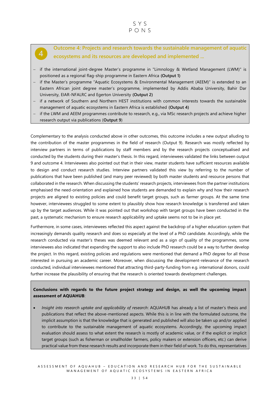**Outcome 4: Projects and research towards the sustainable management of aquatic ecosystems and its resources are developed and implemented ...**

− if the international joint-degree Master's programme in "Limnology & Wetland Management (LWM)" is positioned as a regional flag-ship programme in Eastern Africa **(Output 1)**

 $\boldsymbol{\Lambda}$ 

- − if the Master's programme "Aquatic Ecosystems & Environmental Management (AEEM)" is extended to an Eastern African joint degree master's programme, implemented by Addis Ababa University, Bahir Dar University, EIAR-NFALRC and Egerton University **(Output 2)**
- − if a network of Southern and Northern HEST institutions with common interests towards the sustainable management of aquatic ecosystems in Eastern Africa is established **(Output 4)**
- − if the LWM and AEEM programmes contribute to research, e.g., via MSc research projects and achieve higher research output via publications (**Output 9**)

Complementary to the analysis conducted above in other outcomes, this outcome includes a new output alluding to the contribution of the master programmes in the field of research (Output 9). Research was mostly reflected by interview partners in terms of publications by staff members and by the research projects conceptualised and conducted by the students during their master's thesis. In this regard, interviewees validated the links between output 9 and outcome 4. Interviewees also pointed out that in their view, master students have sufficient resources available to design and conduct research studies. Interview partners validated this view by referring to the number of publications that have been published (and many peer reviewed) by both master students and resource persons that collaborated in the research. When discussing the students' research projects, interviewees from the partner institutions emphasised the need-orientation and explained how students are demanded to explain why and how their research projects are aligned to existing policies and could benefit target groups, such as farmer groups. At the same time however, interviewees struggled to some extent to plausibly show how research knowledge is transferred and taken up by the target audiences. While it was pointed out that workshop with target groups have been conducted in the past, a systematic mechanism to ensure research applicability and uptake seems not to be in place yet.

Furthermore, in some cases, interviewees reflected this aspect against the backdrop of a higher education system that increasingly demands quality research and does so especially at the level of a PhD candidate. Accordingly, while the research conducted via master's theses was deemed relevant and as a sign of quality of the programmes, some interviewees also indicated that expanding the support to also include PhD research could be a way to further develop the project. In this regard, existing policies and regulations were mentioned that demand a PhD degree for all those interested in pursuing an academic career. Moreover, when discussing the development-relevance of the research conducted, individual interviewees mentioned that attracting third-party-funding from e.g. international donors, could further increase the plausibility of ensuring that the research is oriented towards development challenges.

#### **Conclusions with regards to the future project strategy and design, as well the upcoming impact assessment of AQUAHUB**:

• *Insight into research uptake and applicability of research*: AQUAHUB has already a list of master's thesis and publications that reflect the above-mentioned aspects. While this is in line with the formulated outcome, the implicit assumption is that the knowledge that is generated and published will also be taken up and/or applied to contribute to the sustainable management of aquatic ecosystems. Accordingly, the upcoming impact evaluation should assess to what extent the research is mostly of academic value, or if the explicit or implicit target groups (such as fisherman or smallholder farmers, policy makers or extension officers, etc.) can derive practical value from these research results and incorporate them in their field of work. To do this, representatives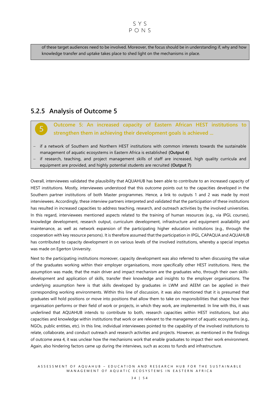of these target audiences need to be involved. Moreover, the focus should be in understanding if, why and how knowledge transfer and uptake takes place to shed light on the mechanisms in place.

### <span id="page-34-0"></span>**5.2.5 Analysis of Outcome 5**

**Outcome 5: An increased capacity of Eastern African HEST institutions to strengthen them in achieving their development goals is achieved ...**

- − if a network of Southern and Northern HEST institutions with common interests towards the sustainable management of aquatic ecosystems in Eastern Africa is established **(Output 4)**
- if research, teaching, and project management skills of staff are increased, high quality curricula and equipment are provided, and highly potential students are recruited **(Output 7)**

Overall, interviewees validated the plausibility that AQUAHUB has been able to contribute to an increased capacity of HEST institutions. Mostly, interviewees understood that this outcome points out to the capacities developed in the Southern partner institutions of both Master programmes. Hence, a link to outputs 1 and 2 was made by most interviewees. Accordingly, these interview partners interpreted and validated that the participation of these institutions has resulted in increased capacities to address teaching, research, and outreach activities by the involved universities. In this regard, interviewees mentioned aspects related to the training of human resources (e.g., via IPGL courses), knowledge development, research output, curriculum development, infrastructure and equipment availability and maintenance, as well as network expansion of the participating higher education institutions (e.g., through the cooperation with key resource persons). It is therefore assumed that the participation in IPGL, CAPAQUA and AQUAHUB has contributed to capacity development in on various levels of the involved institutions, whereby a special impetus was made on Egerton University.

Next to the participating institutions moreover, capacity development was also referred to when discussing the value of the graduates working within their employer organisations, more specifically other HEST institutions. Here, the assumption was made, that the main driver and impact mechanism are the graduates who, through their own skillsdevelopment and application of skills, transfer their knowledge and insights to the employer organisations. The underlying assumption here is that skills developed by graduates in LWM and AEEM can be applied in their corresponding working environments. Within this line of discussion, it was also mentioned that it is presumed that graduates will hold positions or move into positions that allow them to take on responsibilities that shape how their organisation performs or their field of work or projects, in which they work, are implemented. In line with this, it was underlined that AQUAHUB intends to contribute to both, research capacities within HEST institutions, but also capacities and knowledge within institutions that work or are relevant to the management of aquatic ecosystems (e.g., NGOs, public entities, etc). In this line, individual interviewees pointed to the capability of the involved institutions to relate, collaborate, and conduct outreach and research activities and projects. However, as mentioned in the findings of outcome area 4, it was unclear how the mechanisms work that enable graduates to impact their work environment. Again, also hindering factors came up during the interviews, such as access to funds and infrastructure.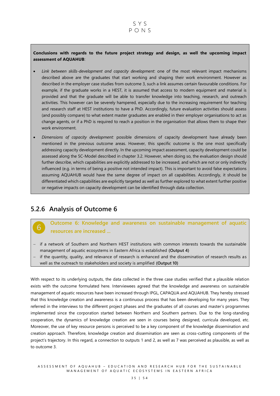#### **Conclusions with regards to the future project strategy and design, as well the upcoming impact assessment of AQUAHUB**:

- *Link between skills-development and capacity development*: one of the most relevant impact mechanisms described above are the graduates that start working and shaping their work environment. However as described in the employer case studies from outcome 3, such a link assumes certain favourable conditions. For example, if the graduate works in a HEST, it is assumed that access to modern equipment and material is provided and that the graduate will be able to transfer knowledge into teaching, research, and outreach activities. This however can be severely hampered, especially due to the increasing requirement for teaching and research staff at HEST institutions to have a PhD. Accordingly, future evaluation activities should assess (and possibly compare) to what extent master graduates are enabled in their employer organisations to act as change agents, or if a PhD is required to reach a position in the organisation that allows them to shape their work environment.
- *Dimensions of capacity development:* possible dimensions of capacity development have already been mentioned in the previous outcome areas. However, this specific outcome is the one most specifically addressing capacity development directly. In the upcoming impact assessment, capacity development could be assessed along the 5C-Model described in chapter 3.2. However, when doing so, the evaluation design should further describe, which capabilities are explicitly addressed to be increased, and which are not or only indirectly influenced (e.g. in terms of being a positive not intended impact). This is important to avoid false expectations assuming AQUAHUB would have the same degree of impact on all capabilities. Accordingly, it should be differentiated which capabilities are explicitly targeted as well as further explored to what extent further positive or negative impacts on capacity development can be identified through data collection.

### <span id="page-35-0"></span>**5.2.6 Analysis of Outcome 6**

6

**Outcome 6: Knowledge and awareness on sustainable management of aquatic resources are increased ...**

- − if a network of Southern and Northern HEST institutions with common interests towards the sustainable management of aquatic ecosystems in Eastern Africa is established **(Output 4)**
- − if the quantity, quality, and relevance of research is enhanced and the dissemination of research results as well as the outreach to stakeholders and society is amplified **(Output 10)**

With respect to its underlying outputs, the data collected in the three case studies verified that a plausible relation exists with the outcome formulated here. Interviewees agreed that the knowledge and awareness on sustainable management of aquatic resources have been increased through IPGL, CAPAQUA and AQUAHUB. They hereby stressed that this knowledge creation and awareness is a continuous process that has been developing for many years. They referred in the interviews to the different project phases and the graduates of all courses and master's programmes implemented since the corporation started between Northern and Southern partners. Due to the long-standing cooperation, the dynamics of knowledge creation are seen in courses being designed, curricula developed, etc. Moreover, the use of key resource persons is perceived to be a key component of the knowledge dissemination and creation approach. Therefore, knowledge creation and dissemination are seen as cross-cutting components of the project's trajectory. In this regard, a connection to outputs 1 and 2, as well as 7 was perceived as plausible, as well as to outcome 3.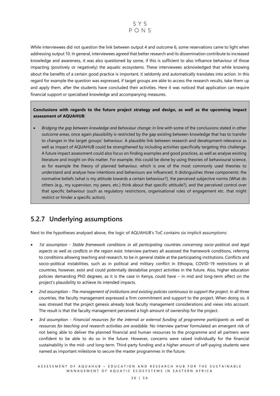

While interviewees did not question the link between output 4 and outcome 6, some reservations came to light when addressing output 10. In general, interviewees agreed that better research and its dissemination contribute to increased knowledge and awareness, it was also questioned by some, if this is sufficient to also influence behaviour of those impacting (positively or negatively) the aquatic ecosystems. These interviewees acknowledged that while knowing about the benefits of a certain good practice is important, it seldomly and automatically translates into action. In this regard for example the question was expressed, if target groups are able to access the research results, take them up and apply them, after the students have concluded their activities. Here it was noticed that application can require financial support or specialised knowledge and accompanying measures.

**Conclusions with regards to the future project strategy and design, as well as the upcoming impact assessment of AQUAHUB**:

• *Bridging the gap between knowledge and behaviour change*: in line with some of the conclusions stated in other outcome areas, once again plausibility is restricted by the gap existing between knowledge that has to transfer to changes in the target groups' behaviour. A plausible link between research and development-relevance as well as impact of AQUAHUB could be strengthened by including activities specifically targeting this challenge. A future impact assessment could also focus on finding examples and good practices, as well as analyse existing literature and insight on this matter. For example, this could be done by using theories of behavioural science, as for example the theory of planned behaviour, which is one of the most commonly used theories to understand and analyse how intentions and behaviours are influenced. It distinguishes three components: the normative beliefs (what is my attitude towards a certain behaviour?), the perceived subjective norms (What do others (e.g., my supervisor, my peers, etc.) think about that specific attitude?), and the perceived control over that specific behaviour (such as regulatory restrictions, organisational rules of engagement etc. that might restrict or hinder a specific action).

### <span id="page-36-0"></span>**5.2.7 Underlying assumptions**

Next to the hypotheses analysed above, the logic of AQUAHUB's ToC contains six implicit assumptions:

- *1st assumption - Stable framework conditions in all participating countries concerning socio-political and legal aspects as well as conflicts in the region exist.* Interview partners all assessed the framework conditions, referring to conditions allowing teaching and research, to be in general stable at the participating institutions. Conflicts and socio-political instabilities, such as in political and military conflict in Ethiopia, COVID-19 restrictions in all countries, however, exist and could potentially destabilise project activities in the future. Also, higher education policies demanding PhD degrees, as it is the case in Kenya, could have – in mid and long-term affect on the project's plausibility to achieve its intended impacts.
- *2nd assumption - The management of institutions and existing policies continuous to support the project.* In all three countries, the faculty management expressed a firm commitment and support to the project. When doing so, it was stressed that the project genesis already took faculty management considerations and views into account. The result is that the faculty management perceived a high amount of ownership for the project.
- *3rd assumption - Financial resources for the internal or external funding of programme participants as well as resources for teaching and research activities are available.* No interview partner formulated an emergent risk of not being able to deliver the planned financial and human resources to the programme and all partners were confident to be able to do so in the future. However, concerns were raised individually for the financial sustainability in the mid- und long-term. Third-party funding and a higher amount of self-paying students were named as important milestone to secure the master programmes in the future.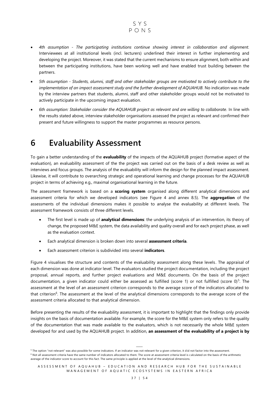

- *4th assumption - The participating institutions continue showing interest in collaboration and alignment.* Interviewees at all institutional levels (incl. lecturers) underlined their interest in further implementing and developing the project. Moreover, it was stated that the current mechanisms to ensure alignment, both within and between the participating institutions, have been working well and have enabled trust building between the partners.
- *5th assumption - Students, alumni, staff and other stakeholder groups are motivated to actively contribute to the implementation of an impact assessment study and the further development of AQUAHUB.* No indication was made by the interview partners that students, alumni, staff and other stakeholder groups would not be motivated to actively participate in the upcoming impact evaluation.
- *6th assumption: Stakeholder consider the AQUAHUB project as relevant and are willing to collaborate.* In line with the results stated above, interview stakeholder organisations assessed the project as relevant and confirmed their present and future willingness to support the master programmes as resource persons.

## <span id="page-37-0"></span>**6 Evaluability Assessment**

To gain a better understanding of the **evaluability** of the impacts of the AQUAHUB project (formative aspect of the evaluation), an evaluability assessment of the the project was carried out on the basis of a desk review as well as interviews and focus groups. The analysis of the evaluability will inform the design for the planned impact assessment. Likewise, it will contribute to overarching strategic and operational learning and change processes for the AQUAHUB project in terms of achieving e.g., maximal organisational learning in the future.

The assessment framework is based on a **scoring system** organised along different analytical dimensions and assessment criteria for which we developed indicators (see Figure 4 and annex 8.5). The **aggregation** of the assessments of the individual dimensions makes it possible to analyse the evaluability at different levels. The assessment framework consists of three different levels.

- The first level is made up of **analytical dimensions**: the underlying analysis of an intervention, its theory of change, the proposed M&E system, the data availability and quality overall and for each project phase, as well as the evaluation context.
- Each analytical dimension is broken down into several **assessment criteria**.
- Each assessment criterion is subdivided into several **indicators**.

Figure 4 visualises the structure and contents of the evaluability assessment along these levels. The appraisal of each dimension was done at indicator level. The evaluators studied the project documentation, including the project proposal, annual reports, and further project evaluations and M&E documents. On the basis of the project documentation, a given indicator could either be assessed as fulfilled (score 1) or not fulfilled (score 0)<sup>5</sup>. The assessment at the level of an assessment criterion corresponds to the average score of the indicators allocated to that criterion<sup>6</sup>. The assessment at the level of the analytical dimensions corresponds to the average score of the assessment criteria allocated to that analytical dimension.

Before presenting the results of the evaluability assessment, it is important to highlight that the findings only provide insights on the basis of documentation available. For example, the score for the M&E system only refers to the quality of the documentation that was made available to the evaluators, which is not necessarily the whole M&E system developed for and used by the AQUAHUB project. In addition, **an assessment of the evaluability of a project is by** 

<sup>5</sup> The option "not relevant" was also possible for some indicators. If an indicator was not relevant for a given criterion, it did not factor into the assessment <sup>6</sup> Not all assessment criteria have the same number of indicators allocated to them. The score at assessment criteria level is calculated on the basis of the arithmetic average of the indicator score to account for this fact. The same principle is applied at the level of the analytical dimensions.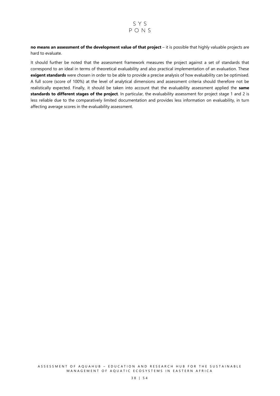

**no means an assessment of the development value of that project** – it is possible that highly valuable projects are hard to evaluate.

It should further be noted that the assessment framework measures the project against a set of standards that correspond to an ideal in terms of theoretical evaluability and also practical implementation of an evaluation. These **exigent standards** were chosen in order to be able to provide a precise analysis of how evaluability can be optimised. A full score (score of 100%) at the level of analytical dimensions and assessment criteria should therefore not be realistically expected. Finally, it should be taken into account that the evaluability assessment applied the **same standards to different stages of the project**. In particular, the evaluability assessment for project stage 1 and 2 is less reliable due to the comparatively limited documentation and provides less information on evaluability, in turn affecting average scores in the evaluability assessment.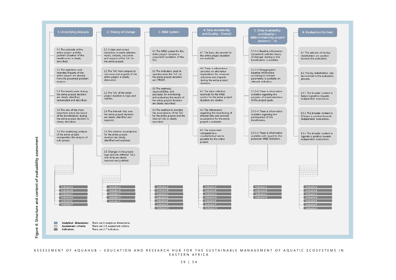| 1. Underlying Analysis                                                                                                                                                                                                                                                                                                                                                                                                                                                     | 2. Theory of Change                                                                                                                      | 3. M&E System                                                                                                                                                  | 4. Data Availability<br>and Quality - Overall                                                                                                      | 5. Data Availability<br>and Quality -<br>differentiated by project<br>phases $(1 – 4)$                                       | 6. Evaluation Context                                                                                 |
|----------------------------------------------------------------------------------------------------------------------------------------------------------------------------------------------------------------------------------------------------------------------------------------------------------------------------------------------------------------------------------------------------------------------------------------------------------------------------|------------------------------------------------------------------------------------------------------------------------------------------|----------------------------------------------------------------------------------------------------------------------------------------------------------------|----------------------------------------------------------------------------------------------------------------------------------------------------|------------------------------------------------------------------------------------------------------------------------------|-------------------------------------------------------------------------------------------------------|
| 1.1 The rationale of the<br>entire project and the<br>problem situation of the<br>beneficiaries is clearly<br>described.                                                                                                                                                                                                                                                                                                                                                   | 2.1 A clear and correct<br>distinction is made between<br>inputs, outputs, outcomes<br>and impacts of the ToC for<br>the entire project. | 3.1 The M&E system for the<br>entire project includes a<br>consistent translation of the<br>ToC.                                                               | 4.1 The basic documents for<br>the entire project duration<br>are available.                                                                       | 5.1.1-4 Baseline information<br>(consistent with the theory<br>of change) relating to the<br>beneficiaries is available.     | 6.1 The attitude of the key<br>stakeholders are positive<br>towards the evaluation.                   |
| 1.2 The objectives and<br>intended impacts of the<br>entire project are derived<br>from the presented problem<br>analysis.                                                                                                                                                                                                                                                                                                                                                 | 2.2 The ToC from outputs to<br>outcomes and impacts of the<br>entire project is clearly<br>elaborated.                                   | 3.2 The indicators used to<br>operationalise the ToC for<br>the entire project duration<br>are CREAM.                                                          | 4.2 There is information<br>provided on alternative<br>explanations for observed<br>outcomes and impacts<br>during the entire project<br>duration. | 5.2.1-4 Disaggregated<br>baseline information<br>according to relevant<br>parameters is available on<br>relevant indicators. | 6.2 The key stakeholders can<br>be involved in the evaluation<br>process.                             |
| 1.3 The beneficiaries during<br>the entire project duration<br>are clearly identified,<br>demarcated and described.                                                                                                                                                                                                                                                                                                                                                        | 2.3 The ToC of the entire<br>project duration is logic and<br>realistic.                                                                 | 3.3 The methods,<br>responsibilities and<br>processes for monitoring<br>and evaluating the results of<br>the entire project duration<br>are clearly described. | 4.3 The data collection<br>methods for the M&E<br>system for the entire project<br>duration are reliable.                                          | 5.3.1-4 There is information<br>available regarding the<br>progress of implementation<br>of the project goals.               | 6.3.1 The broader context in<br>Kenya is positive towards<br>independent evaluations.                 |
| 1.4 The role of the most<br>important actors (exclusive<br>of the beneficiaries) during<br>the entire project duration is<br>clearly described.                                                                                                                                                                                                                                                                                                                            | 2.4 The internal risks over<br>the entire project duration<br>are clearly identified and<br>explored.                                    | 3.4 The method to monitor<br>the assumptions of the ToC<br>for the entire project and the<br>internal risks is clearly<br>described.                           | 4.4 The information<br>regarding the monitoring of<br>internal risks and external<br>assumptions for the entire<br>project is available.           | 5.4.1-4 There is information<br>available regarding the<br>participation of the<br>beneficiaries.                            | 6.3.2 The broader context in<br>Ethiopia is positive towards<br>independent evaluations.              |
| 1.5 The underlying analysis<br>of the entire project<br>incorporates the analysis of<br>sub-groups.                                                                                                                                                                                                                                                                                                                                                                        | 2.5 The external assumptions<br>for the entire project<br>duration are clearly<br>identified and explored.                               |                                                                                                                                                                | 4.5 The assessment<br>compared to a<br>counterfactual seems<br>possible for the entire<br>project.                                                 | 5.5.1-4 There is information<br>available with regard to the<br>proposed M&E indicators.                                     | 6.3.3 The broader context in<br>Uganda is positive towards<br>independent evaluations.                |
|                                                                                                                                                                                                                                                                                                                                                                                                                                                                            | 2.6 Changes in the project<br>logic and the different ToCs<br>over time are clearly<br>reported and justified.                           | ------                                                                                                                                                         |                                                                                                                                                    |                                                                                                                              |                                                                                                       |
| $\frac{1}{2} \left( \frac{1}{2} \right) \left( \frac{1}{2} \right) \left( \frac{1}{2} \right) \left( \frac{1}{2} \right) \left( \frac{1}{2} \right) \left( \frac{1}{2} \right) \left( \frac{1}{2} \right) \left( \frac{1}{2} \right) \left( \frac{1}{2} \right) \left( \frac{1}{2} \right) \left( \frac{1}{2} \right) \left( \frac{1}{2} \right) \left( \frac{1}{2} \right) \left( \frac{1}{2} \right) \left( \frac{1}{2} \right) \left( \frac{1}{2} \right) \left( \frac$ | $- - - - - - -$<br>-------                                                                                                               |                                                                                                                                                                | --------                                                                                                                                           | --------                                                                                                                     |                                                                                                       |
| Indicator A<br>Indicator B<br>Indicator C<br>Indicator D<br>Indicator E<br>Indicator F                                                                                                                                                                                                                                                                                                                                                                                     | Indicator A<br>Indicator B<br>Indicator C<br>Indicator D<br>Indicator E                                                                  | Indicator A<br>Indicator B<br>Indicator C<br>Indicator D<br>Indicator E<br>Indicator F<br>Indicator G                                                          | <b>Indicator A</b><br>Indicator B<br>Indicator C<br>Indicator D<br>Indicator E<br>Indicator F<br>Indicator G                                       | Indicator A<br>Indicator B<br>Indicator C<br>Indicator D                                                                     | Indicator A<br>Indicator B<br>Indicator C<br>Indicator D<br>Indicator E<br>Indicator F<br>Indicator G |
| Analytical dimensions:<br>Assessment criteria:<br>$\blacksquare$<br>$\blacksquare$<br>Indicators:                                                                                                                                                                                                                                                                                                                                                                          | There are 6 analytical dimensions.<br>There are 4-6 assessment criteria.<br>There are 2-7 indicators.                                    |                                                                                                                                                                |                                                                                                                                                    |                                                                                                                              |                                                                                                       |

#### ASSESSMENT OF AQUAHUB - EDUCATION AND RESEARCH HUB FOR THE SUSTAINABLE MANAGEMENT OF AQUATIC ECOSYSTEMS IN E A S T E R N A F R I C A

Figure 4: Structure and content of evaluability assessment **Figure 4: Structure and content of evaluability assessment**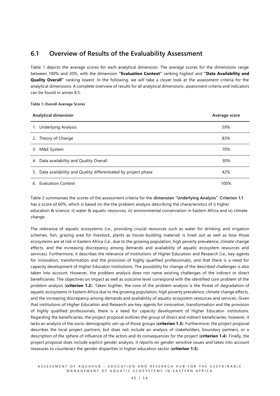### <span id="page-40-0"></span>**6.1 Overview of Results of the Evaluability Assessment**

Table 1 depicts the average scores for each analytical dimension. The average scores for the dimensions range between 100% and 30%, with the dimension **"Evaluation Context"** ranking highest and **"Data Availability and Quality Overall"** ranking lowest. In the following, we will take a closer look at the assessment criteria for the analytical dimensions. A complete overview of results for all analytical dimensions, assessment criteria and indicators can be found in annex 8.5.

#### **Table 1: Overall Average Scores**

| Analytical dimension                                                | Average score |
|---------------------------------------------------------------------|---------------|
| 1. Underlying Analysis                                              | 59%           |
| 2. Theory of Change                                                 | 83%           |
| 3. M&E System                                                       | 70%           |
| 4. Data availability and Quality Overall                            | 30%           |
| Data availability and Quality differentiated by project phase<br>5. | 42%           |
| 6. Evaluation Context                                               | 100%          |

Table 2 summarises the scores of the assessment criteria for the **dimension "Underlying Analysis"**. **Criterion 1.1** has a score of 60%, which is based on the the problem analysis describing the characteristics of i) higher education & science, ii) water & aquatic resources, iii) environmental conservation in Eastern Africa and iv) climate change.

The relevance of aquatic ecosystems (i.e., providing crucial resources such as water for drinking and irrigation schemes, fish, grazing area for livestock, plants as house-building material) is lined out as well as how those ecosystems are at risk in Eastern Africa (i.e., due to the growing population, high poverty prevalence, climate change effects, and the increasing discrepancy among demands and availability of aquatic ecosystem resources and services). Furthermore, it describes the relevance of Institutions of Higher Education and Research (i.e., key-agents for innovation, transformation and the provision of highly qualified professionals), and that there is a need for capacity development of Higher Educaton Institutions. The possibility for change of the described challenges is also taken into account. However, the problem analysis does not name existing challenges of the indirect or direct beneficiaries. The objectives on impact as well as outcome level correspond with the identified core problem of the problem analysis (**criterion 1.2**). Taken togther, the core of the problem analysis is the threat of degradation of aquatic ecosystems in Eastern Africa due to the growing population, high poverty prevalence, climate change effects, and the increasing discrepancy among demands and availability of aquatic ecosystem resources and services. Given that institutions of Higher Education and Research are key-agents for innovation, transformation and the provision of highly qualified professionals, there is a need for capacity development of Higher Educaton institutions. Regarding the beneficiaries, the project proposal outlines the group of direct and indirect beneficiaries, however, it lacks an analysis of the socio-demographic set-up of those groups (**criterion 1.3**). Furthermore, the project proposal describes the local project partners, but does not include an analysis of stakeholders, boundary partners, or a description of the sphere of influence of the actors and its consequences for the project (**criterion 1.4**). Finally, the project proposal does include explicit gender analysis, it reports on gender sensitive issues and takes into account measures to counteract the gender disparities in higher education sector (**criterion 1.5**).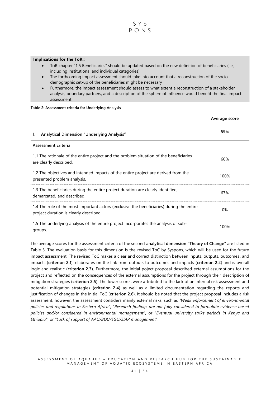

#### **Implications for the ToR:**:

- ToR chapter "1.5 Beneficiaries" should be updated based on the new definition of beneficiaries (i.e., including institutional and individual categories)
- The forthcoming impact assessment should take into account that a reconstruction of the sociodemographic set-up of the beneficiaries might be necessary
- Furthermore, the impact assessment should assess to what extent a reconstruction of a stakeholder analysis, boundary partners, and a description of the sphere of influence would benefit the final impact assessment

#### **Table 2: Assessment criteria for Underlying Analysis**

|                                                                                                                                     | Average score |
|-------------------------------------------------------------------------------------------------------------------------------------|---------------|
| <b>Analytical Dimension "Underlying Analysis"</b><br>1.                                                                             | 59%           |
| Assessment criteria                                                                                                                 |               |
| 1.1 The rationale of the entire project and the problem situation of the beneficiaries<br>are clearly described.                    | 60%           |
| 1.2 The objectives and intended impacts of the entire project are derived from the<br>presented problem analysis.                   | 100%          |
| 1.3 The beneficiaries during the entire project duration are clearly identified,<br>demarcated, and described.                      | 67%           |
| 1.4 The role of the most important actors (exclusive the beneficiaries) during the entire<br>project duration is clearly described. | 0%            |
| 1.5 The underlying analysis of the entire project incorporates the analysis of sub-<br>groups.                                      | 100%          |

The average scores for the assessment criteria of the second **analytical dimension "Theory of Change"** are listed in Table 3. The evaluation basis for this dimension is the revised ToC by Syspons, which will be used for the future impact assessment. The revised ToC makes a clear and correct distinction between inputs, outputs, outcomes , and impacts (**criterion 2.1**), elaborates on the link from outputs to outcomes and impacts (**criterion 2.2**) and is overall logic and realistic (**criterion 2.3).** Furthermore, the initial poject proposal described external assumptions for the project and reflected on the consequences of the external assumptions for the project through their description of mitigation strategies (**criterion 2.5**). The lower scores were attributed to the lack of an internal risk assessment and potential mitigation strategies **(criterion 2.4)** as well as a limited documentation regarding the reports and justification of changes in the initial ToC (**criterion 2.6**). It should be noted that the project proposal includes a risk assessment, however, the assessment considers mainly external risks, such as *"Weak enforcement of environmental policies and regulations in Eastern Africa"*, *"Research findings are not fully considered to formulate evidence based policies and/or considered in environmental management"*, or *"Eventual university strike periods in Kenya and Ethiopia"*, or *"Lack of support of AAU/BDU/EGU/EIAR management"*.

#### A S S E S S M E N T O F A Q U A H U B – E D U C A T I O N A N D R E S E A R C H H U B F OR THE SUSTAIN A BLE MANAGEMENT OF AQUATIC ECOSYSTEMS IN EASTERN AFRICA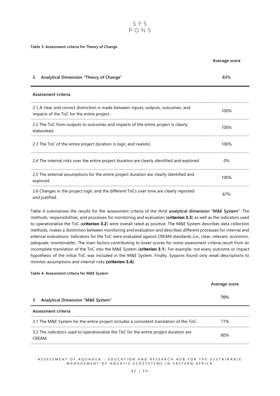

#### **Table 3: Assessment criteria for Theory of Change**

|                                                                                                                                  | Average score |
|----------------------------------------------------------------------------------------------------------------------------------|---------------|
| Analytical Dimension "Theory of Change"<br>2.                                                                                    | 83%           |
| Assessment criteria                                                                                                              |               |
| 2.1 A clear and correct distinction is made between inputs, outputs, outcomes, and<br>impacts of the ToC for the entire project. | 100%          |
| 2.2 The ToC from outputs to outcomes and impacts of the entire project is clearly<br>elaborated.                                 | 100%          |
| 2.3 The ToC of the entire project duration is logic and realistic.                                                               | 100%          |
| 2.4 The internal risks over the entire project duration are clearly identified and explored.                                     | 0%            |
| 2.5 The external assumptions for the entire project duration are clearly identified and<br>explored.                             | 100%          |
| 2.6 Changes in the project logic and the different ToCs over time are clearly reported<br>and justified.                         | 67%           |

Table 4 summarises the results for the assessment criteria of the thrid **analytical dimension "M&E System"**. The methods, responsibilities, and processes for monitoring and evaluation (**criterion 3.3**) as well as the indicators used to operationalise the ToC (**criterion 3.2**) were overall rated as positive. The M&E System describes data collection methods, makes a distinction between monitoring and evaluation and describes different processes for internal and external evaluations. Indicators for the ToC were evaluated against CREAM standards (i.e., clear, relevant, economic, adequate, monitorable). The main factors contributing to lower scores for some assessment criteria result from an incomplete translation of the ToC into the M&E System (**criterion 3.1**). For example, not every outcome or impact hypothesis of the initial ToC was included in the M&E System. Finally, Syspons found only weak descriptions to monitor assumptions and internal risks **(criterion 3.4)**.

#### **Table 4: Assessment criteria for M&E System**

| Average score |
|---------------|
| 70%           |
|               |
| 71%           |
| 80%           |
|               |

A S S E S S M E N T O F A Q U A H U B – E D U C A T I O N A N D R E S E A R C H H U B F OR THE S U S T A I N A B L E MANAGEMENT OF AQUATIC ECOSYSTEMS IN EASTERN AFRICA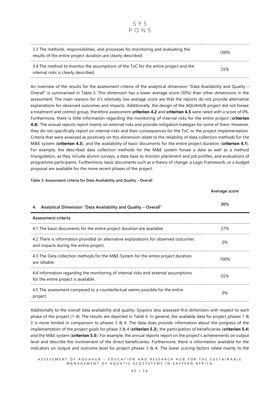| 3.3 The methods, responsibilities, and processes for monitoring and evaluating the<br>results of the entire project duration are clearly described. | 100% |
|-----------------------------------------------------------------------------------------------------------------------------------------------------|------|
| 3.4 The method to monitor the assumptions of the ToC for the entire project and the<br>internal risks is clearly described.                         | 25%  |

SYS  $PONS$ 

An overview of the results for the assessment criteria of the analytical dimension "Data Availability and Quality – Overall" is summarised in Table 5. This dimension has a lower average score (30%) than other dimensions in the assessment. The main reasons for it's relatively low average score are that the reports do not provide alternative explanations for observed outcomes and impacts. Additionally, the design of the AQUAHUB project did not forsee a treatment and control group, therefore assessment **criterion 4.2** and **criterion 4.5** were rated with a score of 0%. Furthermore, there is little information regarding the monitoring of internal risks for the entire project ( **criterion 4.4**). The annual reports report mainly on external risks and provide mitigation trategies for some of them. However, they do not specifically report on internal risks and their consequences for the ToC or the project implementation. Criteria that were assessed as positively on this dimension relate to the reliability of data collection methods for the M&E system (**criterion 4.3**), and the availability of basic documents for the entire project duration (**criterion 4.1**). For example, the described data collection methods for the M&E system forsee a data as well as a method triangulation, as they include alumni surveys, a data base to monitor placement and job profiles, and evaluations of programme participants. Furthermore, basic documents such as a theory of change, a Logic Framework, or a budget proposal are available for the more recent phases of the project.

|                                                                                                                               | Average score |
|-------------------------------------------------------------------------------------------------------------------------------|---------------|
| Analytical Dimension "Data Availability and Quality - Overall"<br>4.                                                          | 30%           |
| Assessment criteria                                                                                                           |               |
| 4.1 The basic documents for the entire project duration are available.                                                        | 57%           |
| 4.2 There is information provided on alternative explanations for observed outcomes<br>and impacts during the entire project. | $0\%$         |
| 4.3 The Data collection methods for the M&E System for the entire project duration<br>are reliable.                           | 100%          |
| 4.4 Information regarding the monitoring of internal risks end external assumptions<br>for the entire project is available.   | 25%           |
| 4.5 The assessment compared to a counterfactual seems possible for the entire<br>project.                                     | $0\%$         |

**Table 5: Assessment criteria for Data Availability and Quality - Overall**

Additionally to the overall data availability and quality, Syspons also assessed this dimension with respect to each phase of the project (1-4). The results are depicted in Table 6. In general, the available data for project phases 1 & 2 is more limited in comparison to phases 3 & 4. The data does provide information about the progress of the implementation of the project goals for phase 3 & 4 (**criterion 5.3**), the participation of beneficiaries (**criterion 5.4**) and the M&E system (**criterion 5.5**). For example, the annual reports report on the project's achievements on output level and describe the involvement of the direct beneficiaries. Furthermore, there is information available for the indicators on output and outcome level for project phases 3 & 4. The lower scoring factors relate mainly to the

A S S E S S M E N T O F A Q U A H U B – E D U C A T I O N A N D R E S E A R C H H U B F OR THE SUSTAIN A BLE MANAGEMENT OF AQUATIC ECOSYSTEMS IN EASTERN AFRICA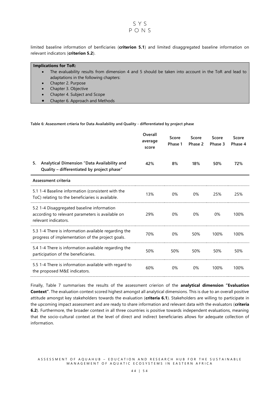#### SYS  $PONS$

limited baseline information of benficiaries (**criterion 5.1**) and limited disaggregated baseline information on relevant indicators (**criterion 5.2**).

#### **Implications for ToR:**

- The evaluability results from dimension 4 and 5 should be taken into account in the ToR and lead to adaptations in the following chapters:
- Chapter 2. Purpose
- Chapter 3. Objective
- Chapter 4. Subject and Scope
- Chapter 6. Approach and Methods

**Table 6: Assessment crtieria for Data Availability and Quality - differentiated by project phase**

|                                                                                                                        | Overall<br>average<br>score | Score<br>Phase 1 | Score<br>Phase 2 | Score<br>Phase 3 | Score<br>Phase 4 |
|------------------------------------------------------------------------------------------------------------------------|-----------------------------|------------------|------------------|------------------|------------------|
| Analytical Dimension "Data Availability and<br>5.<br>Quality - differentiated by project phase"                        | 42%                         | 8%               | 18%              | 50%              | 72%              |
| Assessment criteria                                                                                                    |                             |                  |                  |                  |                  |
| 5.1 1-4 Baseline information (consistent with the<br>ToC) relating to the beneficiaries is available.                  | 13%                         | 0%               | 0%               | 25%              | 25%              |
| 5.2 1-4 Disaggregated baseline information<br>according to relevant parameters is available on<br>relevant indicators. | 29%                         | $0\%$            | 0%               | 0%               | 100%             |
| 5.3 1-4 There is information available regarding the<br>progress of implementation of the project goals.               | 70%                         | 0%               | 50%              | 100%             | 100%             |
| 5.4 1-4 There is information available regarding the<br>participation of the beneficiaries.                            | 50%                         | 50%              | 50%              | 50%              | 50%              |
| 5.5 1-4 There is information available with regard to<br>the proposed M&E indicators.                                  | 60%                         | 0%               | 0%               | 100%             | 100%             |

Finally, Table 7 summarises the results of the assessment crierion of the **analytical dimension "Evaluation Context"**. The evaluation context scored highest amongst all analytical dimensions. This is due to an overall positive attitude amongst key stakeholders towards the evaluation (**criteria 6.1**). Stakeholders are willing to participate in the upcoming impact assessment and are ready to share information and relevant data with the evaluators (**criteria 6.2**). Furthermore, the broader context in all three countries is positive towards independent evaluations, meaning that the socio-cultural context at the level of direct and indirect beneficiaries allows for adequate collection of information.

A S S E S S M E N T O F A Q U A H U B – E D U C A T I O N A N D R E S E A R C H H U B F OR THE S U S T A I N A B L E MANAGEMENT OF AQUATIC ECOSYSTEMS IN EASTERN AFRICA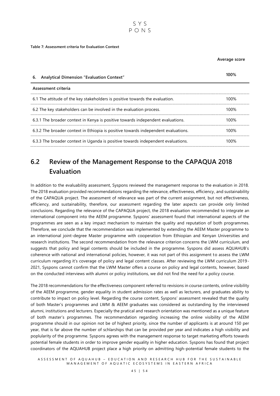

#### **Table 7: Assessment criteria for Evaluation Context**

**Average score**

| <b>Analytical Dimension "Evaluation Context"</b><br>6.                             | 100% |
|------------------------------------------------------------------------------------|------|
| Assessment criteria                                                                |      |
| 6.1 The attitude of the key stakeholders is positive towards the evaluation.       | 100% |
| 6.2 The key stakeholders can be involved in the evaluation process.                | 100% |
| 6.3.1 The broader context in Kenya is positive towards independent evaluations.    | 100% |
| 6.3.2 The broader context in Ethiopia is positive towards independent evaluations. | 100% |
| 6.3.3 The broader context in Uganda is positive towards independent evaluations.   | 100% |

### <span id="page-45-0"></span>**6.2 Review of the Management Response to the CAPAQUA 2018 Evaluation**

In addition to the evaluability assessment, Syspons reviewed the management response to the evaluation in 2018. The 2018 evaluation provided recommendations regarding the relevance, effectiveness, efficiency, and sustainability of the CAPAQUA project. The assessment of relevance was part of the current assignment, but not effectiveness, efficiency, and sustainability, therefore, our assessment regarding the later aspects can provide only limited conclusions. Regarding the relevance of the CAPAQUA project, the 2018 evaluation recommended to integrate an international component into the AEEM programme. Syspons' assessment found that international aspects of the programmes are seen as a key impact mechanism to maintain the quality and reputation of both programmes. Therefore, we conclude that the recommendation was implemented by extending the AEEM Master programme to an international joint-degree Master programme with cooperation from Ethiopian and Kenyan Universities and research institutions. The second recommendation from the relevance criterion concerns the LWM curriculum, and suggests that policy and legal contents should be included in the programme. Syspons did assess AQUAHUB's coherence with national and international policies, however, it was not part of this assignment to assess the LWM curriculum regarding it's coverage of policy and legal content classes. After reviewing the LWM curriculum 2019- 2021, Syspons cannot confirm that the LWM Master offers a course on policy and legal contents, however, based on the conducted interviews with alumni or policy institutions, we did not find the need for a policy course.

The 2018 recommendations for the effectiveness component referred to revisions in course contents, online visibility of the AEEM programme, gender equality in student admission rates as well as lecturers, and graduates ability to contribute to impact on policy level. Regarding the course content, Syspons' assessment revealed that the quality of both Master's programmes and LWM & AEEM graduates was considered as outstanding by the interviewed alumni, institutions and lecturers. Especially the pratical and research orientation was mentioned as a unique feature of both master's programmes. The recommendation regarding increasing the online visibility of the AEEM programme should in our opinion not be of highest priority, since the number of applicants is at around 150 per year, that is far above the number of schlarships that can be provided per year and indicates a high visibility and poplularity of the programme. Syspons agrees with the management response to target marketing efforts towards potential female students in order to improve gender equality in higher education. Syspons has found that project coordinators of the AQUAHUB project place a high priority on admitting high-potential female students to the

A S S E S S M E N T O F A Q U A H U B – E D U C A T I ON A N D R E S E A R C H H U B F OR THE SUSTAIN A BLE MANAGEMENT OF AQUATIC ECOSYSTEMS IN EASTERN AFRICA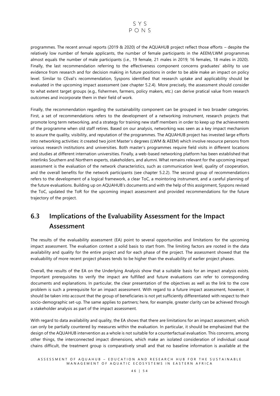

programmes. The recent annual reports (2019 & 2020) of the AQUAHUB project reflect those efforts – despite the relatively low number of female applicants, the number of female participants in the AEEM/LWM programmes almost equals the number of male participants (i.e., 19 female, 21 males in 2019; 16 females, 18 males in 2020). Finally, the last recommendation referring to the effectiveness component concerns graduates' ability to use evidence from research and for decision making in future positions in order to be able make an impact on policy level. Similar to CEval's recommendation, Syspons identified that research uptake and applicability should be evaluated in the upcoming impact assessment (see chapter 5.2.4). More precisely, the assessment should consider to what extent target groups (e.g., fishermen, farmers, policy makers, etc.) can derive pratical value from research outcomes and incorporate them in their field of work.

Finally, the recommendation regarding the sustainability component can be grouped in two broader categories. First, a set of recommendations refers to the development of a networking instrument, research projects that promote long term networking, and a strategy for training new staff members in order to keep up the achievements of the programme when old staff retires. Based on our analysis, networking was seen as a key impact mechanism to assure the quality, visibility, and reputation of the programmes. The AQUAHUB project has invested large efforts into networking activities: it created two joint Master's degrees (LWM & AEEM) which involve resource persons from various research institutions and universities. Both master's programmes require field visits in different locations and studies at different internation universities. Finally, a web-based networking platform has been established that interlinks Southern and Northern experts, stakeholders, and alumni. What remains relevant for the upcoming impact assessment is the evaluation of the network characteristics, such as communication level, quality of cooperation, and the overall benefits for the network participants (see chapter 5.2.2). The second group of recommendations refers to the development of a logical framework, a clear ToC, a mointoring instrument, and a careful planning of the future evaluations. Building up on AQUAHUB's documents and with the help of this assignment, Syspons revised the ToC, updated the ToR for the upcoming impact assessment and provided recommendations for the future trajectory of the project.

## <span id="page-46-0"></span>**6.3 Implications of the Evaluability Assessment for the Impact Assessment**

The results of the evaluability assessment (EA) point to several opportunities and limitations for the upcoming impact assessment. The evaluation context a solid basis to start from. The limiting factors are rooted in the data availability and quality for the entire project and for each phase of the project. The assessment showed that the evaluability of more recent project phases tends to be higher than the evaluability of earlier project phases.

Overall, the results of the EA on the Underlying Analysis show that a suitable basis for an impact analysis exists. Important prerequisites to verify the impact are fulfilled and future evaluations can refer to corresponding documents and explanations. In particular, the clear presentation of the objectives as well as the link to the core problem is such a prerequisite for an impact assessment. With regard to a future impact assessment, however, it should be taken into account that the group of beneficiaries is not yet sufficiently differentiated with respect to their socio-demographic set-up. The same applies to partners; here, for example, greater clarity can be achieved through a stakeholder analysis as part of the impact assessment.

With regard to data availability and quality, the EA shows that there are limitations for an impact assessment, which can only be partially countered by measures within the evaluation. In particular, it should be emphasized that the design of the AQUAHUB intervention as a whole is not suitable for a counterfactual evaluation. This concerns, among other things, the interconnected impact dimensions, which make an isolated consideration of individual causal chains difficult, the treatment group is comparatively small and that no baseline information is available at the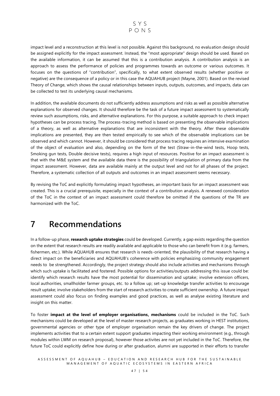

impact level and a reconstruction at this level is not possible. Against this background, no evaluation design should be assigned explicitly for the impact assessment. Instead, the "most appropriate" design should be used. Based on the available information, it can be assumed that this is a contribution analysis. A contribution analysis is an approach to assess the performance of policies and programmes towards an outcome or various outcomes. It focuses on the questions of "contribution", specifically, to what extent observed results (whether positive or negative) are the consequence of a policy or in this case the AQUAHUB project (Mayne, 2001). Based on the revised Theory of Change, which shows the causal relationships between inputs, outputs, outcomes, and impacts, data can be collected to test its underlying causal mechanisms.

In addition, the available documents do not sufficiently address assumptions and risks as well as possible alternative explanations for observed changes. It should therefore be the task of a future impact assessment to systematically review such assumptions, risks, and alternative explanations. For this purpose, a suitable approach to check impact hypotheses can be process tracing. The process-tracing method is based on presenting the observable implications of a theory, as well as alternative explanations that are inconsistent with the theory. After these observable implications are presented, they are then tested empirically to see which of the observable implications can be observed and which cannot. However, it should be considered that process tracing requires an intensive examination of the object of evaluation and also, depending on the form of the test (Straw-in-the-wind tests, Hoop tests, Smoking gun tests, Double decisive tests), requires a high input of resources. Positive for an impact assessment is that with the M&E system and the available data there is the possibility of triangulation of primary data from the impact assessment. However, data are available mainly at the output level and not for all phases of the project. Therefore, a systematic collection of all outputs and outcomes in an impact assessment seems necessary.

By revising the ToC and explicitly formulating impact hypotheses, an important basis for an impact assessment was created. This is a crucial prerequisite, especially in the context of a contribution analysis. A renewed consideration of the ToC in the context of an impact assessment could therefore be omitted if the questions of the TR are harmonized with the ToC.

## <span id="page-47-0"></span>**7 Recommendations**

In a follow-up phase, **research uptake strategies** could be developed. Currently, a gap exists regarding the question on the extent that research results are readily available and applicable to those who can benefit from it (e.g. farmers, fishermen, etc.). While AQUAHUB ensures that research is needs-oriented, the plausibility of that research having a direct impact on the beneficiaries and AQUAHUB's coherence with policies emphasizing community engagement needs to be strengthened. Accordingly, the project strategy should also include activities and mechanisms through which such uptake is facilitated and fostered. Possible options for activities/outputs addressing this issue could be: identify which research results have the most potential for dissemination and uptake; involve extension officers, local authorities, smallholder farmer groups, etc. to a follow up; set-up knowledge transfer activities to encourage result uptake; involve stakeholders from the start of research activities to create sufficient ownership. A future impact assessment could also focus on finding examples and good practices, as well as analyse existing literature and insight on this matter.

To foster **impact at the level of employer organisations, mechanisms** could be included in the ToC. Such mechanisms could be developed at the level of master research projects, as graduates working in HEST institutions, governmental agencies or other type of employer organisation remain the key drivers of change. The project implements activities that to a certain extent support graduates impacting their working environment (e.g., through modules within LWM on research proposal), however those activites are not yet included in the ToC. Therefore, the future ToC could explicitly define how during or after graduation, alumni are supported in their efforts to transfer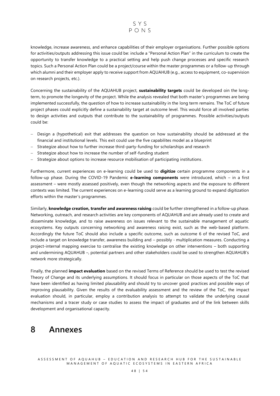#### SYS  $PONS$

knowledge, increase awareness, and enhance capabilities of their employer organisations. Further possible options for activities/outputs addressing this issue could be: include a "Personal Action Plan" in the curriculum to create the opportunity to transfer knowledge to a practical setting and help push change processes and specific research topics. Such a Personal Action Plan could be a project/course within the master programmes or a follow-up through which alumni and their employer apply to receive support from AQUAHUB (e.g., access to equipment, co-supervision on research projects, etc.).

Concerning the sustainability of the AQUAHUB project, **sustainability targets** could be developed oin the longterm, to promote the longevity of the project. While the analysis revealed that both master's programmes are being implemented successfully, the question of how to increase sustainability in the long term remains. The ToC of future project phases could explicitly define a sustainability target at outcome level. This would force all involved parties to design activities and outputs that contribute to the sustainability of programmes. Possible activities/outputs could be:

- − Design a (hypothetical) exit that addresses the question on how sustainability should be addressed at the financial and institutional levels. This exit could use the five capabilites model as a blueprint
- − Strategize about how to further increase third-party-funding for scholarships and research
- − Strategize about how to increase the number of self-funding student
- − Strategize about options to increase resource mobilisation of participating institutions .

Furthermore, current experiences on e-learning could be used to **digitize** certain programme components in a follow-up phase. During the COVID-19 Pandemic **e-learning components** were introduced, which – in a first assessment – were mostly assessed positively, even though the networking aspects and the exposure to different contexts was limited. The current experiences on e-learning could serve as a learning ground to expand digitization efforts within the master's programmes.

Similarly, **knowledge creation, transfer and awareness raising** could be further strengthened in a follow-up phase. Networking, outreach, and research activities are key components of AQUAHUB and are already used to create and disseminate knowledge, and to raise awareness on issues relevant to the sustainable management of aquatic ecosystems. Key outputs concerning networking and awareness raising exist, such as the web-based platform. Accordingly the future ToC should also include a specific outcome, such as outcome 6 of the revised ToC, and include a target on knowledge transfer, awareness building and – possibly - multiplication measures. Conducting a project-internal mapping exercise to centralise the existing knowledge on other interventions – both supporting and undermining AQUAHUB –, potential partners and other stakeholders could be used to strengthen AQUAHUB's network more strategically.

Finally, the planned **impact evaluation** based on the revised Terms of Reference should be used to test the revised Theory of Change and its underlying assumptions. It should focus in particular on those aspects of the ToC that have been identified as having limited plausability and should try to uncover good practices and possible ways of improving plausability. Given the results of the evaluability assessment and the review of the ToC, the impact evaluation should, in particular, employ a contribution analysis to attempt to validate the underlying causal mechanisms and a tracer study or case studies to assess the impact of graduates and of the link between skills development and organisational capacity.

## <span id="page-48-0"></span>**8 Annexes**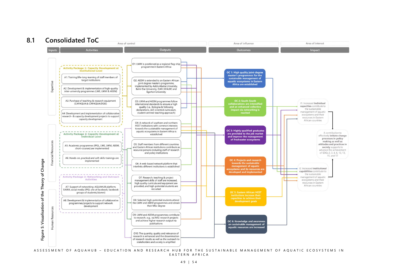#### **8.1 Consolidated ToC**

<span id="page-49-0"></span>

E A S T E R N A F R I C A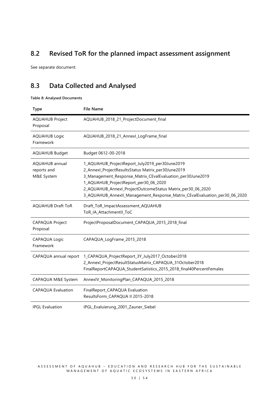### <span id="page-50-0"></span>**8.2 Revised ToR for the planned impact assessment assignment**

See separate document.

## <span id="page-50-1"></span>**8.3 Data Collected and Analysed**

**Table 8: Analysed Documents**

| <b>Type</b>                                        | <b>File Name</b>                                                                                                                                                                                                                                                                                                                                        |
|----------------------------------------------------|---------------------------------------------------------------------------------------------------------------------------------------------------------------------------------------------------------------------------------------------------------------------------------------------------------------------------------------------------------|
| <b>AQUAHUB Project</b><br>Proposal                 | AQUAHUB_2018_21_ProjectDocument_final                                                                                                                                                                                                                                                                                                                   |
| <b>AQUAHUB Logic</b><br>Framework                  | AQUAHUB_2018_21_Annexl_LogFrame_final                                                                                                                                                                                                                                                                                                                   |
| <b>AQUAHUB Budget</b>                              | Budget 0612-00-2018                                                                                                                                                                                                                                                                                                                                     |
| <b>AQUAHUB</b> annual<br>reports and<br>M&E System | 1_AQUAHUB_ProjectReport_July2019_per30June2019<br>2_Annexl_ProjectResultsStatus Matrix_per30June2019<br>3_Management_Response_Matrix_CEvalEvaluation_per30June2019<br>1_AQUAHUB_ProjectReport_per30_06_2020<br>2_AQUAHUB_Annexl_ProjectOutcomeStatus Matrix_per30_06_2020<br>3_AQUAHUB_AnnexII_Management_Response_Matrix_CEvalEvaluation_per30_06_2020 |
| <b>AQUAHUB Draft ToR</b>                           | Draft_ToR_ImpactAssessment_AQUAHUB<br>ToR_IA_AttachmentII_ToC                                                                                                                                                                                                                                                                                           |
| <b>CAPAQUA Project</b><br>Proposal                 | ProjectProposalDocument_CAPAQUA_2015_2018_final                                                                                                                                                                                                                                                                                                         |
| CAPAQUA Logic<br>Framework                         | CAPAQUA_LogFrame_2015_2018                                                                                                                                                                                                                                                                                                                              |
| CAPAQUA annual report                              | 1_CAPAQUA_ProjectReport_3Y_July2017_October2018<br>2_Annexl_ProjectResultStatusMatrix_CAPAQUA_31October2018<br>FinalReportCAPAQUA_StudentSatistics_2015_2018_final40PercentFemales                                                                                                                                                                      |
| CAPAQUA M&E System                                 | AnnexIV_MonitoringPlan_CAPAQUA_2015_2018                                                                                                                                                                                                                                                                                                                |
| <b>CAPAQUA Evaluation</b>                          | FinalReport_CAPAQUA Evaluation<br>ResultsForm_CAPAQUA II 2015-2018                                                                                                                                                                                                                                                                                      |
| <b>IPGL Evaluation</b>                             | IPGL_Evaluierung_2001_Zauner_Siebel                                                                                                                                                                                                                                                                                                                     |

A S S E S S M E N T O F A QUA H U B – E D U C A T I O N A N D R E S E A R C H H U B F O R T H E S U S T A I N A B L E M A N A G E M E N T O F A Q U A T I C E C O S Y S T E M S I N E A S T E R N A F R I C A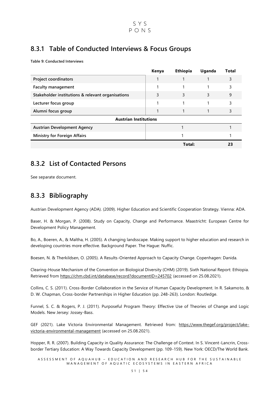### <span id="page-51-0"></span>**8.3.1 Table of Conducted Interviews & Focus Groups**

**Table 9: Conducted Interviews**

|                                                   | Kenya | <b>Ethiopia</b> | Uganda | <b>Total</b> |  |  |
|---------------------------------------------------|-------|-----------------|--------|--------------|--|--|
| <b>Project coordinators</b>                       |       |                 |        |              |  |  |
| <b>Faculty management</b>                         |       | 1               |        | 3            |  |  |
| Stakeholder institutions & relevant organisations | 3     | 3               | 3      | 9            |  |  |
| Lecturer focus group                              |       |                 |        | 3            |  |  |
| Alumni focus group                                |       |                 |        | 3            |  |  |
| <b>Austrian Institutions</b>                      |       |                 |        |              |  |  |
| <b>Austrian Development Agency</b>                |       |                 |        |              |  |  |
| <b>Ministry for Foreign Affairs</b>               |       |                 |        |              |  |  |
|                                                   |       | Total:          |        |              |  |  |

### <span id="page-51-1"></span>**8.3.2 List of Contacted Persons**

See separate document.

### <span id="page-51-2"></span>**8.3.3 Bibliography**

Austrian Development Agency (ADA). (2009). Higher Education and Scientific Cooperation Strategy. Vienna: ADA.

Baser, H. & Morgan, P. (2008). Study on Capacity, Change and Performance. Maastricht: European Centre for Development Policy Management.

Bo, A., Boeren, A., & Maltha, H. (2005). A changing landsscape. Making support to higher education and research in developing countries more effective. Background Paper. The Hague: Nuffic.

Boesen, N. & Therkildsen, O. (2005). A Results-Oriented Approach to Capacity Change. Copenhagen: Danida.

Clearing-House Mechanism of the Convention on Biological Diversity (CHM) (2019). Sixth National Report: Ethiopia. Retrieved from<https://chm.cbd.int/database/record?documentID=245702> (accessed on 25.08.2021).

Collins, C. S. (2011). Cross-Border Collaboration in the Service of Human Capacity Development. In R. Sakamoto, & D. W. Chapman, Cross-border Partnerships in Higher Education (pp. 248-263). London: Routledge.

Funnel, S. C. & Rogers, P. J. (2011). Purposeful Program Theory: Effective Use of Theories of Change and Logic Models. New Jersey: Jossey-Bass.

GEF (2021). Lake Victoria Environmental Management. Retrieved from: [https://www.thegef.org/project/lake](https://www.thegef.org/project/lake-victoria-environmental-management)[victoria-environmental-management](https://www.thegef.org/project/lake-victoria-environmental-management) (accessed on 25.08.2021).

Hopper, R. R. (2007). Building Capacity in Quality Assurance: The Challenge of Context. In S. Vincent-Lancrin, Crossborder Tertiary Education: A Way Towards Capacity Development (pp. 109-159). New York: OECD/The World Bank.

A S S E S S M E N T O F A Q U A H U B – E D U C A T I O N A N D R E S E A R C H H U B F OR THE SUSTAIN A BLE MANAGEMENT OF AQUATIC ECOSYSTEMS IN EASTERN AFRICA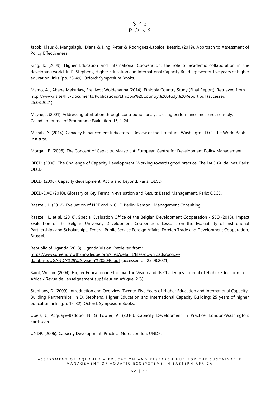Jacob, Klaus & Mangalagiu, Diana & King, Peter & Rodríguez-Labajos, Beatriz. (2019). Approach to Assessment of Policy Effectiveness.

King, K. (2009). Higher Education and International Cooperation: the role of academic collaboration in the developing world. In D. Stephens, Higher Education and International Capacity Building: twenty-five years of higher education links (pp. 33-49). Oxford: Symposium Books.

Mamo, A. , Abebe Mekuriaw, Frehiwot Woldehanna (2014). Ethiopia Country Study (Final Report). Retrieved from http://www.ifs.se/IFS/Documents/Publications/Ethiopia%20Country%20Study%20Report.pdf (accessed 25.08.2021).

Mayne, J. (2001). Addressing attribution through contribution analysis: using performance measures sensibly. Canadian Journal of Programme Evaluation, 16, 1-24.

Mizrahi, Y. (2014). Capacity Enhancement Indicators – Review of the Literature. Washington D.C.: The World Bank Institute.

Morgan, P. (2006). The Concept of Capacity. Maastricht: European Centre for Development Policy Management.

OECD. (2006). The Challenge of Capacity Development: Working towards good practice: The DAC-Guidelines. Paris: OECD.

OECD. (2008). Capacity development: Accra and beyond. Paris: OECD.

OECD-DAC (2010). Glossary of Key Terms in evaluation and Results Based Management. Paris: OECD.

Raetzell, L. (2012). Evaluation of NPT and NICHE. Berlin: Rambøll Management Consulting.

Raetzell, L. et al. (2018). Special Evaluation Office of the Belgian Development Cooperation / SEO (2018), Impact Evaluation of the Belgian University Development Cooperation. Lessons on the Evaluability of Institutional Partnerships and Scholarships, Federal Public Service Foreign Affairs, Foreign Trade and Development Cooperation, Brussel.

Republic of Uganda (2013). Uganda Vision. Retrieved from: [https://www.greengrowthknowledge.org/sites/default/files/downloads/policy](https://www.greengrowthknowledge.org/sites/default/files/downloads/policy-database/UGANDA%29%20Vision%202040.pdf)[database/UGANDA%29%20Vision%202040.pdf](https://www.greengrowthknowledge.org/sites/default/files/downloads/policy-database/UGANDA%29%20Vision%202040.pdf) (accessed on 25.08.2021).

Saint, William (2004). Higher Education in Ethiopia: The Vision and Its Challenges. Journal of Higher Education in Africa / Revue de l'enseignement supérieur en Afrique, 2(3).

Stephans, D. (2009). Introduction and Overview. Twenty-Five Years of Higher Education and International Capacity-Building Partnerships. In D. Stephens, Higher Education and International Capacity Building: 25 years of higher education links (pp. 15-32). Oxford: Symposium Books.

Ubels, J., Acquaye-Baddoo, N. & Fowler, A. (2010). Capacity Development in Practice. London/Washington: Earthscan.

UNDP. (2006). Capacity Development. Practical Note. London: UNDP.

#### A S S E S S M E N T O F A Q U A H U B – E D U C A T I O N A N D R E S E A R C H H U B F OR THE SUSTAIN A BLE MANAGEMENT OF AQUATIC ECOSYSTEMS IN EASTERN AFRICA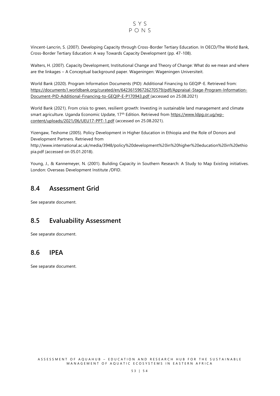#### SYS  $PONS$

Vincent-Lancrin, S. (2007). Developing Capacity through Cross-Border Tertiary Education. In OECD/The World Bank, Cross-Border Tertiary Education: A way Towards Capacity Development (pp. 47-108).

Walters, H. (2007). Capacity Development, Institutional Change and Theory of Change: What do we mean and where are the linkages – A Conceptual background paper. Wageningen: Wageningen Universiteit.

World Bank (2020). Program Information Documents (PID): Additional Financing to GEQIP-E. Retrieved from: [https://documents1.worldbank.org/curated/en/642361596726270579/pdf/Appraisal-Stage-Program-Information-](https://documents1.worldbank.org/curated/en/642361596726270579/pdf/Appraisal-Stage-Program-Information-Document-PID-Additional-Financing-to-GEQIP-E-P170943.pdf)[Document-PID-Additional-Financing-to-GEQIP-E-P170943.pdf](https://documents1.worldbank.org/curated/en/642361596726270579/pdf/Appraisal-Stage-Program-Information-Document-PID-Additional-Financing-to-GEQIP-E-P170943.pdf) (accessed on 25.08.2021)

World Bank (2021). From crisis to green, resilient growth: Investing in sustainable land management and climate smart agriculture. Uganda Economic Update, 17<sup>th</sup> Edition. Retrieved from [https://www.ldpg.or.ug/wp](https://www.ldpg.or.ug/wp-content/uploads/2021/06/UEU17-PPT-1.pdf)[content/uploads/2021/06/UEU17-PPT-1.pdf](https://www.ldpg.or.ug/wp-content/uploads/2021/06/UEU17-PPT-1.pdf) (accessed on 25.08.2021).

Yizengaw, Teshome (2005). Policy Development in Higher Education in Ethiopia and the Role of Donors and Development Partners. Retrieved from

http://www.international.ac.uk/media/3948/policy%20development%20in%20higher%20education%20in%20ethio pia.pdf (accessed on 05.01.2018).

Young, J., & Kannemeyer, N. (2001). Building Capacity in Southern Research: A Study to Map Existing initiatives. London: Overseas Development Institute /DFID.

### <span id="page-53-0"></span>**8.4 Assessment Grid**

See separate document.

### <span id="page-53-1"></span>**8.5 Evaluability Assessment**

See separate document.

### <span id="page-53-2"></span>**8.6 IPEA**

See separate document.